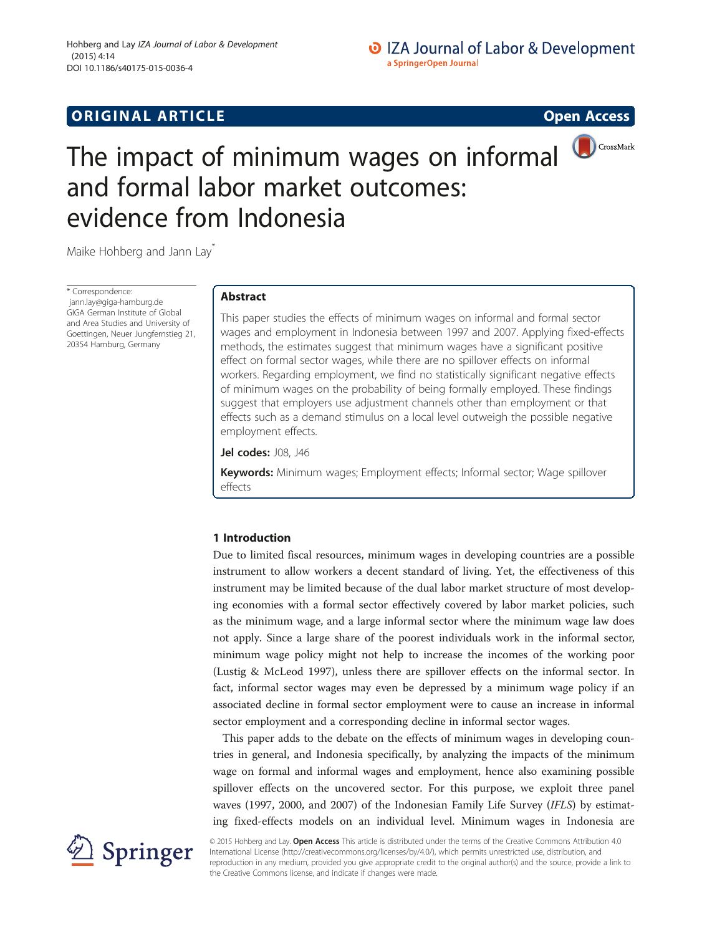# **ORIGINAL ARTICLE CONSUMING A LIGACION** CONSUMING A LIGACION CONSUMING A LIGACION CONSUMING A LIGACION CONSUMING A LIGACION CONSUMING A LIGACION CONSUMING A LIGACION CONSUMING A LIGACION CONSUMING A LIGACION CONSUMING A



# The impact of minimum wages on informal and formal labor market outcomes: evidence from Indonesia

Maike Hohberg and Jann Lay<sup>\*</sup>

\* Correspondence: [jann.lay@giga-hamburg.de](mailto:jann.lay@giga-hamburg.de) GIGA German Institute of Global and Area Studies and University of Goettingen, Neuer Jungfernstieg 21, 20354 Hamburg, Germany

# Abstract

This paper studies the effects of minimum wages on informal and formal sector wages and employment in Indonesia between 1997 and 2007. Applying fixed-effects methods, the estimates suggest that minimum wages have a significant positive effect on formal sector wages, while there are no spillover effects on informal workers. Regarding employment, we find no statistically significant negative effects of minimum wages on the probability of being formally employed. These findings suggest that employers use adjustment channels other than employment or that effects such as a demand stimulus on a local level outweigh the possible negative employment effects.

Jel codes: J08, J46

Keywords: Minimum wages; Employment effects; Informal sector; Wage spillover effects

# 1 Introduction

Due to limited fiscal resources, minimum wages in developing countries are a possible instrument to allow workers a decent standard of living. Yet, the effectiveness of this instrument may be limited because of the dual labor market structure of most developing economies with a formal sector effectively covered by labor market policies, such as the minimum wage, and a large informal sector where the minimum wage law does not apply. Since a large share of the poorest individuals work in the informal sector, minimum wage policy might not help to increase the incomes of the working poor (Lustig & McLeod [1997](#page-24-0)), unless there are spillover effects on the informal sector. In fact, informal sector wages may even be depressed by a minimum wage policy if an associated decline in formal sector employment were to cause an increase in informal sector employment and a corresponding decline in informal sector wages.

This paper adds to the debate on the effects of minimum wages in developing countries in general, and Indonesia specifically, by analyzing the impacts of the minimum wage on formal and informal wages and employment, hence also examining possible spillover effects on the uncovered sector. For this purpose, we exploit three panel waves (1997, 2000, and 2007) of the Indonesian Family Life Survey (IFLS) by estimating fixed-effects models on an individual level. Minimum wages in Indonesia are



© 2015 Hohberg and Lay. Open Access This article is distributed under the terms of the Creative Commons Attribution 4.0 International License ([http://creativecommons.org/licenses/by/4.0/\)](http://creativecommons.org/licenses/by/4.0/), which permits unrestricted use, distribution, and reproduction in any medium, provided you give appropriate credit to the original author(s) and the source, provide a link to the Creative Commons license, and indicate if changes were made.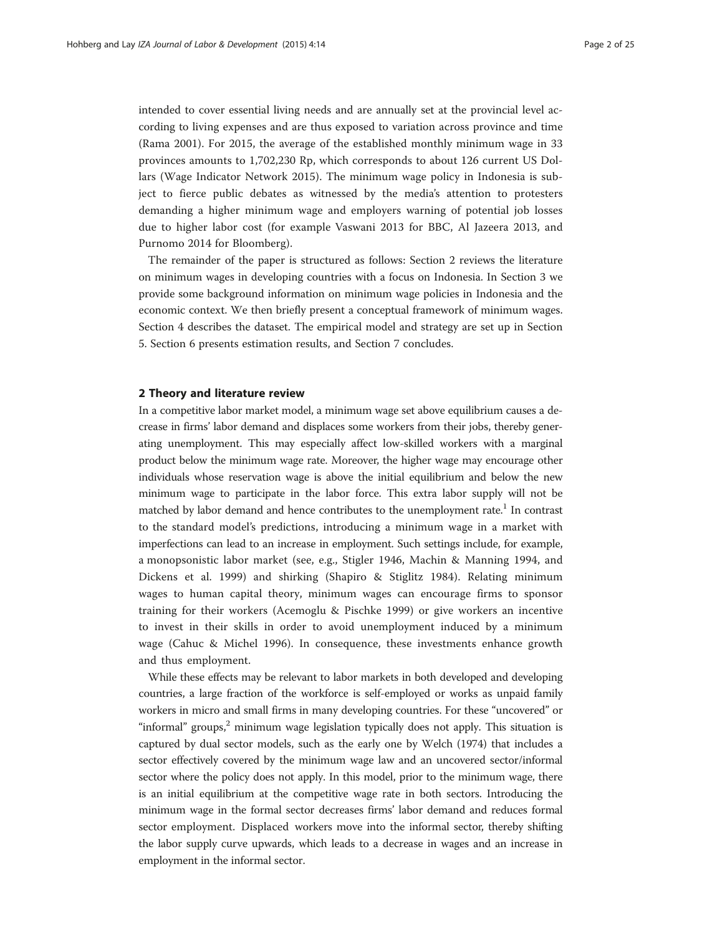intended to cover essential living needs and are annually set at the provincial level according to living expenses and are thus exposed to variation across province and time (Rama [2001\)](#page-24-0). For 2015, the average of the established monthly minimum wage in 33 provinces amounts to 1,702,230 Rp, which corresponds to about 126 current US Dollars (Wage Indicator Network [2015\)](#page-24-0). The minimum wage policy in Indonesia is subject to fierce public debates as witnessed by the media's attention to protesters demanding a higher minimum wage and employers warning of potential job losses due to higher labor cost (for example Vaswani [2013](#page-24-0) for BBC, Al Jazeera [2013,](#page-23-0) and Purnomo [2014](#page-24-0) for Bloomberg).

The remainder of the paper is structured as follows: Section 2 reviews the literature on minimum wages in developing countries with a focus on Indonesia. In Section 3 we provide some background information on minimum wage policies in Indonesia and the economic context. We then briefly present a conceptual framework of minimum wages. Section 4 describes the dataset. The empirical model and strategy are set up in Section 5. Section 6 presents estimation results, and Section 7 concludes.

# 2 Theory and literature review

In a competitive labor market model, a minimum wage set above equilibrium causes a decrease in firms' labor demand and displaces some workers from their jobs, thereby generating unemployment. This may especially affect low-skilled workers with a marginal product below the minimum wage rate. Moreover, the higher wage may encourage other individuals whose reservation wage is above the initial equilibrium and below the new minimum wage to participate in the labor force. This extra labor supply will not be matched by labor demand and hence contributes to the unemployment rate.<sup>1</sup> In contrast to the standard model's predictions, introducing a minimum wage in a market with imperfections can lead to an increase in employment. Such settings include, for example, a monopsonistic labor market (see, e.g., Stigler [1946](#page-24-0), Machin & Manning [1994](#page-24-0), and Dickens et al. [1999\)](#page-23-0) and shirking (Shapiro & Stiglitz [1984](#page-24-0)). Relating minimum wages to human capital theory, minimum wages can encourage firms to sponsor training for their workers (Acemoglu & Pischke [1999\)](#page-23-0) or give workers an incentive to invest in their skills in order to avoid unemployment induced by a minimum wage (Cahuc & Michel [1996\)](#page-23-0). In consequence, these investments enhance growth and thus employment.

While these effects may be relevant to labor markets in both developed and developing countries, a large fraction of the workforce is self-employed or works as unpaid family workers in micro and small firms in many developing countries. For these "uncovered" or "informal" groups, $2$  minimum wage legislation typically does not apply. This situation is captured by dual sector models, such as the early one by Welch ([1974](#page-24-0)) that includes a sector effectively covered by the minimum wage law and an uncovered sector/informal sector where the policy does not apply. In this model, prior to the minimum wage, there is an initial equilibrium at the competitive wage rate in both sectors. Introducing the minimum wage in the formal sector decreases firms' labor demand and reduces formal sector employment. Displaced workers move into the informal sector, thereby shifting the labor supply curve upwards, which leads to a decrease in wages and an increase in employment in the informal sector.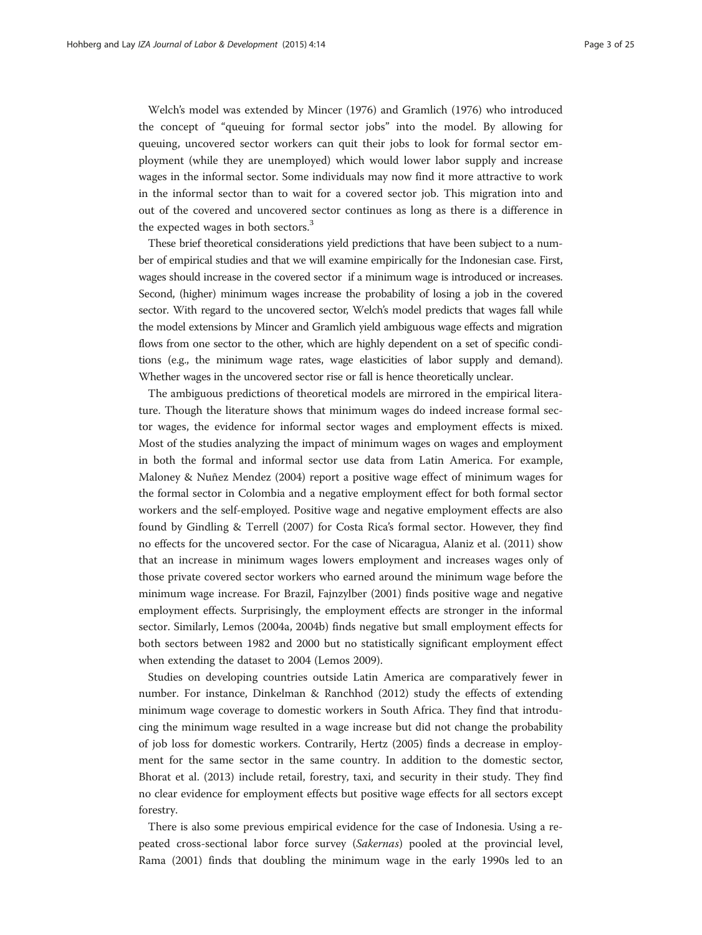Welch's model was extended by Mincer ([1976\)](#page-24-0) and Gramlich [\(1976\)](#page-23-0) who introduced the concept of "queuing for formal sector jobs" into the model. By allowing for queuing, uncovered sector workers can quit their jobs to look for formal sector employment (while they are unemployed) which would lower labor supply and increase wages in the informal sector. Some individuals may now find it more attractive to work in the informal sector than to wait for a covered sector job. This migration into and out of the covered and uncovered sector continues as long as there is a difference in the expected wages in both sectors.<sup>3</sup>

These brief theoretical considerations yield predictions that have been subject to a number of empirical studies and that we will examine empirically for the Indonesian case. First, wages should increase in the covered sector if a minimum wage is introduced or increases. Second, (higher) minimum wages increase the probability of losing a job in the covered sector. With regard to the uncovered sector, Welch's model predicts that wages fall while the model extensions by Mincer and Gramlich yield ambiguous wage effects and migration flows from one sector to the other, which are highly dependent on a set of specific conditions (e.g., the minimum wage rates, wage elasticities of labor supply and demand). Whether wages in the uncovered sector rise or fall is hence theoretically unclear.

The ambiguous predictions of theoretical models are mirrored in the empirical literature. Though the literature shows that minimum wages do indeed increase formal sector wages, the evidence for informal sector wages and employment effects is mixed. Most of the studies analyzing the impact of minimum wages on wages and employment in both the formal and informal sector use data from Latin America. For example, Maloney & Nuñez Mendez ([2004](#page-24-0)) report a positive wage effect of minimum wages for the formal sector in Colombia and a negative employment effect for both formal sector workers and the self-employed. Positive wage and negative employment effects are also found by Gindling & Terrell [\(2007\)](#page-23-0) for Costa Rica's formal sector. However, they find no effects for the uncovered sector. For the case of Nicaragua, Alaniz et al. ([2011](#page-23-0)) show that an increase in minimum wages lowers employment and increases wages only of those private covered sector workers who earned around the minimum wage before the minimum wage increase. For Brazil, Fajnzylber ([2001\)](#page-23-0) finds positive wage and negative employment effects. Surprisingly, the employment effects are stronger in the informal sector. Similarly, Lemos ([2004a, 2004b\)](#page-24-0) finds negative but small employment effects for both sectors between 1982 and 2000 but no statistically significant employment effect when extending the dataset to 2004 (Lemos [2009\)](#page-24-0).

Studies on developing countries outside Latin America are comparatively fewer in number. For instance, Dinkelman & Ranchhod [\(2012\)](#page-23-0) study the effects of extending minimum wage coverage to domestic workers in South Africa. They find that introducing the minimum wage resulted in a wage increase but did not change the probability of job loss for domestic workers. Contrarily, Hertz [\(2005\)](#page-23-0) finds a decrease in employment for the same sector in the same country. In addition to the domestic sector, Bhorat et al. [\(2013\)](#page-23-0) include retail, forestry, taxi, and security in their study. They find no clear evidence for employment effects but positive wage effects for all sectors except forestry.

There is also some previous empirical evidence for the case of Indonesia. Using a repeated cross-sectional labor force survey (Sakernas) pooled at the provincial level, Rama [\(2001\)](#page-24-0) finds that doubling the minimum wage in the early 1990s led to an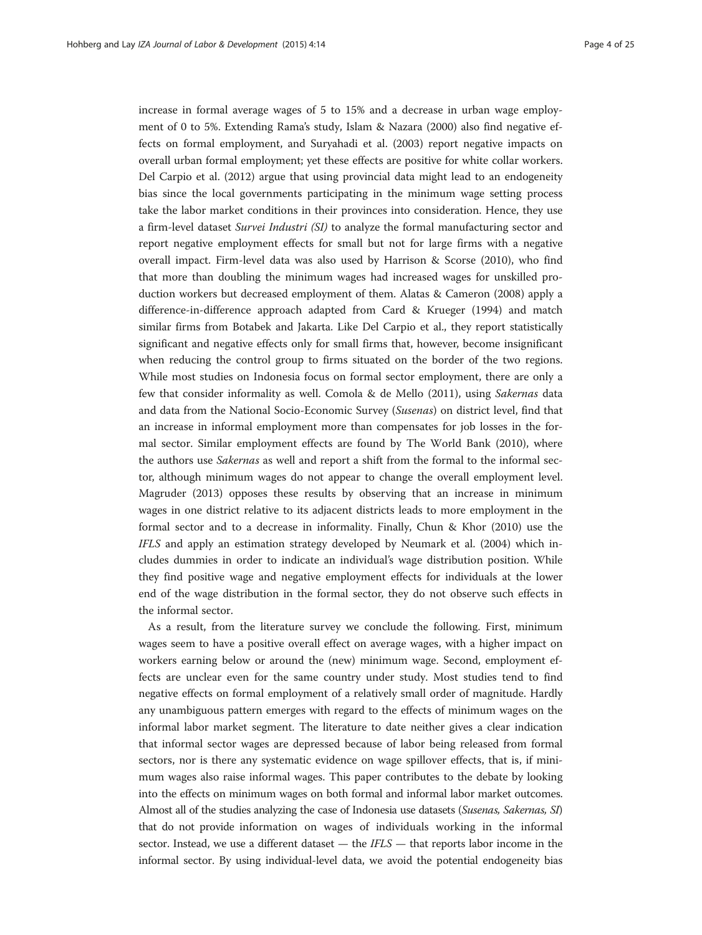increase in formal average wages of 5 to 15% and a decrease in urban wage employment of 0 to 5%. Extending Rama's study, Islam & Nazara [\(2000\)](#page-23-0) also find negative effects on formal employment, and Suryahadi et al. ([2003](#page-24-0)) report negative impacts on overall urban formal employment; yet these effects are positive for white collar workers. Del Carpio et al. [\(2012](#page-23-0)) argue that using provincial data might lead to an endogeneity bias since the local governments participating in the minimum wage setting process take the labor market conditions in their provinces into consideration. Hence, they use a firm-level dataset Survei Industri (SI) to analyze the formal manufacturing sector and report negative employment effects for small but not for large firms with a negative overall impact. Firm-level data was also used by Harrison & Scorse [\(2010\)](#page-23-0), who find that more than doubling the minimum wages had increased wages for unskilled production workers but decreased employment of them. Alatas & Cameron [\(2008\)](#page-23-0) apply a difference-in-difference approach adapted from Card & Krueger ([1994](#page-23-0)) and match similar firms from Botabek and Jakarta. Like Del Carpio et al., they report statistically significant and negative effects only for small firms that, however, become insignificant when reducing the control group to firms situated on the border of the two regions. While most studies on Indonesia focus on formal sector employment, there are only a few that consider informality as well. Comola & de Mello [\(2011\)](#page-23-0), using Sakernas data and data from the National Socio-Economic Survey (Susenas) on district level, find that an increase in informal employment more than compensates for job losses in the formal sector. Similar employment effects are found by The World Bank ([2010\)](#page-24-0), where the authors use Sakernas as well and report a shift from the formal to the informal sector, although minimum wages do not appear to change the overall employment level. Magruder [\(2013](#page-24-0)) opposes these results by observing that an increase in minimum wages in one district relative to its adjacent districts leads to more employment in the formal sector and to a decrease in informality. Finally, Chun & Khor [\(2010\)](#page-23-0) use the IFLS and apply an estimation strategy developed by Neumark et al. ([2004](#page-24-0)) which includes dummies in order to indicate an individual's wage distribution position. While they find positive wage and negative employment effects for individuals at the lower end of the wage distribution in the formal sector, they do not observe such effects in the informal sector.

As a result, from the literature survey we conclude the following. First, minimum wages seem to have a positive overall effect on average wages, with a higher impact on workers earning below or around the (new) minimum wage. Second, employment effects are unclear even for the same country under study. Most studies tend to find negative effects on formal employment of a relatively small order of magnitude. Hardly any unambiguous pattern emerges with regard to the effects of minimum wages on the informal labor market segment. The literature to date neither gives a clear indication that informal sector wages are depressed because of labor being released from formal sectors, nor is there any systematic evidence on wage spillover effects, that is, if minimum wages also raise informal wages. This paper contributes to the debate by looking into the effects on minimum wages on both formal and informal labor market outcomes. Almost all of the studies analyzing the case of Indonesia use datasets (Susenas, Sakernas, SI) that do not provide information on wages of individuals working in the informal sector. Instead, we use a different dataset — the  $IFLS$  — that reports labor income in the informal sector. By using individual-level data, we avoid the potential endogeneity bias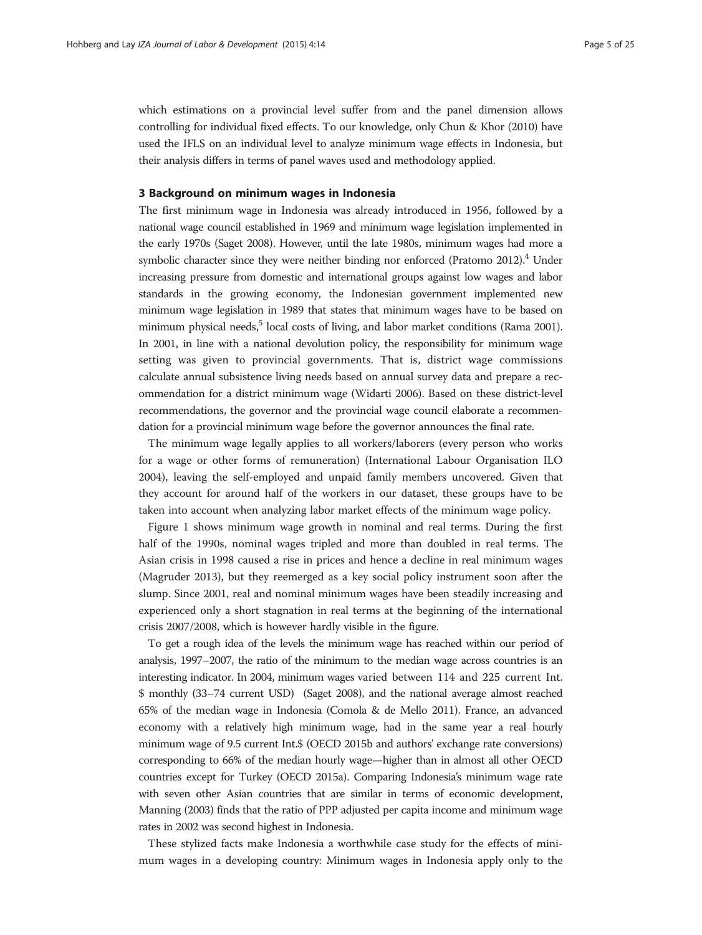<span id="page-4-0"></span>which estimations on a provincial level suffer from and the panel dimension allows controlling for individual fixed effects. To our knowledge, only Chun & Khor [\(2010](#page-23-0)) have used the IFLS on an individual level to analyze minimum wage effects in Indonesia, but their analysis differs in terms of panel waves used and methodology applied.

# 3 Background on minimum wages in Indonesia

The first minimum wage in Indonesia was already introduced in 1956, followed by a national wage council established in 1969 and minimum wage legislation implemented in the early 1970s (Saget [2008\)](#page-24-0). However, until the late 1980s, minimum wages had more a symbolic character since they were neither binding nor enforced (Pratomo [2012](#page-24-0)).<sup>4</sup> Under increasing pressure from domestic and international groups against low wages and labor standards in the growing economy, the Indonesian government implemented new minimum wage legislation in 1989 that states that minimum wages have to be based on minimum physical needs,<sup>5</sup> local costs of living, and labor market conditions (Rama [2001](#page-24-0)). In 2001, in line with a national devolution policy, the responsibility for minimum wage setting was given to provincial governments. That is, district wage commissions calculate annual subsistence living needs based on annual survey data and prepare a recommendation for a district minimum wage (Widarti [2006\)](#page-24-0). Based on these district-level recommendations, the governor and the provincial wage council elaborate a recommendation for a provincial minimum wage before the governor announces the final rate.

The minimum wage legally applies to all workers/laborers (every person who works for a wage or other forms of remuneration) (International Labour Organisation ILO [2004](#page-23-0)), leaving the self-employed and unpaid family members uncovered. Given that they account for around half of the workers in our dataset, these groups have to be taken into account when analyzing labor market effects of the minimum wage policy.

Figure [1](#page-5-0) shows minimum wage growth in nominal and real terms. During the first half of the 1990s, nominal wages tripled and more than doubled in real terms. The Asian crisis in 1998 caused a rise in prices and hence a decline in real minimum wages (Magruder [2013\)](#page-24-0), but they reemerged as a key social policy instrument soon after the slump. Since 2001, real and nominal minimum wages have been steadily increasing and experienced only a short stagnation in real terms at the beginning of the international crisis 2007/2008, which is however hardly visible in the figure.

To get a rough idea of the levels the minimum wage has reached within our period of analysis, 1997–2007, the ratio of the minimum to the median wage across countries is an interesting indicator. In 2004, minimum wages varied between 114 and 225 current Int. \$ monthly (33–74 current USD) (Saget [2008](#page-24-0)), and the national average almost reached 65% of the median wage in Indonesia (Comola & de Mello [2011\)](#page-23-0). France, an advanced economy with a relatively high minimum wage, had in the same year a real hourly minimum wage of 9.5 current Int.\$ (OECD [2015b](#page-24-0) and authors' exchange rate conversions) corresponding to 66% of the median hourly wage—higher than in almost all other OECD countries except for Turkey (OECD [2015a](#page-24-0)). Comparing Indonesia's minimum wage rate with seven other Asian countries that are similar in terms of economic development, Manning [\(2003](#page-24-0)) finds that the ratio of PPP adjusted per capita income and minimum wage rates in 2002 was second highest in Indonesia.

These stylized facts make Indonesia a worthwhile case study for the effects of minimum wages in a developing country: Minimum wages in Indonesia apply only to the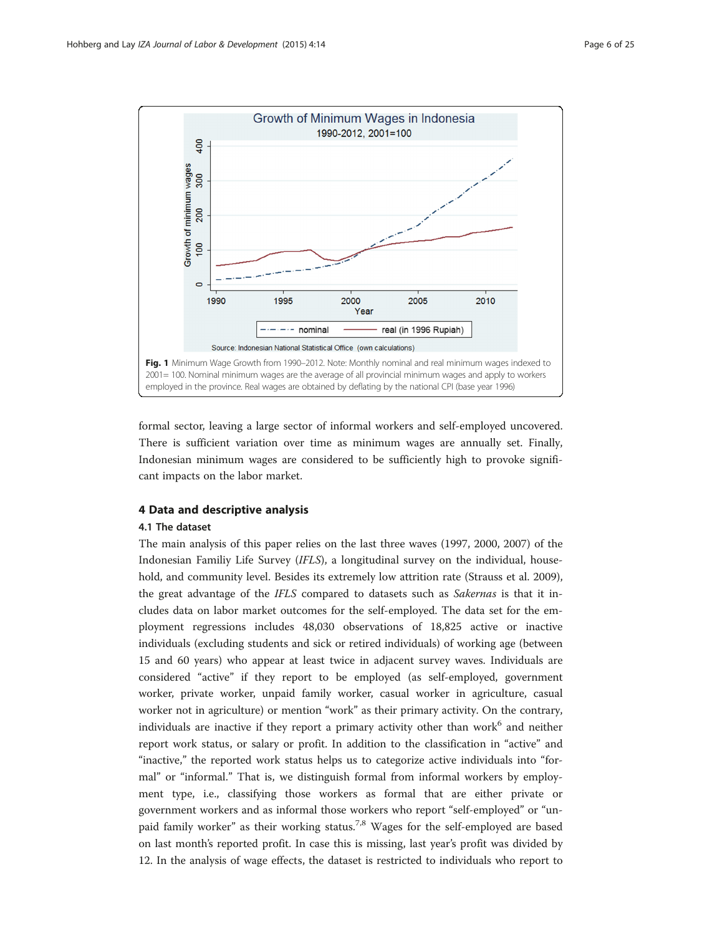<span id="page-5-0"></span>

formal sector, leaving a large sector of informal workers and self-employed uncovered. There is sufficient variation over time as minimum wages are annually set. Finally, Indonesian minimum wages are considered to be sufficiently high to provoke significant impacts on the labor market.

# 4 Data and descriptive analysis

# 4.1 The dataset

The main analysis of this paper relies on the last three waves (1997, 2000, 2007) of the Indonesian Familiy Life Survey (IFLS), a longitudinal survey on the individual, household, and community level. Besides its extremely low attrition rate (Strauss et al. [2009](#page-24-0)), the great advantage of the IFLS compared to datasets such as Sakernas is that it includes data on labor market outcomes for the self-employed. The data set for the employment regressions includes 48,030 observations of 18,825 active or inactive individuals (excluding students and sick or retired individuals) of working age (between 15 and 60 years) who appear at least twice in adjacent survey waves. Individuals are considered "active" if they report to be employed (as self-employed, government worker, private worker, unpaid family worker, casual worker in agriculture, casual worker not in agriculture) or mention "work" as their primary activity. On the contrary, individuals are inactive if they report a primary activity other than work<sup>6</sup> and neither report work status, or salary or profit. In addition to the classification in "active" and "inactive," the reported work status helps us to categorize active individuals into "formal" or "informal." That is, we distinguish formal from informal workers by employment type, i.e., classifying those workers as formal that are either private or government workers and as informal those workers who report "self-employed" or "unpaid family worker" as their working status.7,8 Wages for the self-employed are based on last month's reported profit. In case this is missing, last year's profit was divided by 12. In the analysis of wage effects, the dataset is restricted to individuals who report to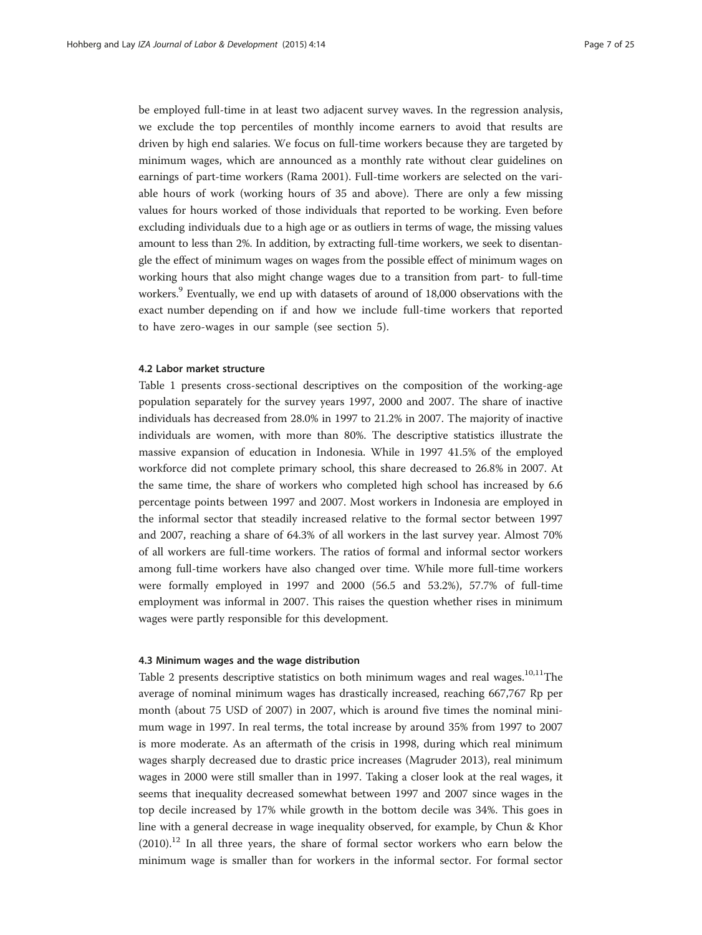be employed full-time in at least two adjacent survey waves. In the regression analysis, we exclude the top percentiles of monthly income earners to avoid that results are driven by high end salaries. We focus on full-time workers because they are targeted by minimum wages, which are announced as a monthly rate without clear guidelines on earnings of part-time workers (Rama [2001\)](#page-24-0). Full-time workers are selected on the variable hours of work (working hours of 35 and above). There are only a few missing values for hours worked of those individuals that reported to be working. Even before excluding individuals due to a high age or as outliers in terms of wage, the missing values amount to less than 2%. In addition, by extracting full-time workers, we seek to disentangle the effect of minimum wages on wages from the possible effect of minimum wages on working hours that also might change wages due to a transition from part- to full-time workers.<sup>9</sup> Eventually, we end up with datasets of around of 18,000 observations with the exact number depending on if and how we include full-time workers that reported to have zero-wages in our sample (see [section 5\)](#page-9-0).

#### 4.2 Labor market structure

Table [1](#page-7-0) presents cross-sectional descriptives on the composition of the working-age population separately for the survey years 1997, 2000 and 2007. The share of inactive individuals has decreased from 28.0% in 1997 to 21.2% in 2007. The majority of inactive individuals are women, with more than 80%. The descriptive statistics illustrate the massive expansion of education in Indonesia. While in 1997 41.5% of the employed workforce did not complete primary school, this share decreased to 26.8% in 2007. At the same time, the share of workers who completed high school has increased by 6.6 percentage points between 1997 and 2007. Most workers in Indonesia are employed in the informal sector that steadily increased relative to the formal sector between 1997 and 2007, reaching a share of 64.3% of all workers in the last survey year. Almost 70% of all workers are full-time workers. The ratios of formal and informal sector workers among full-time workers have also changed over time. While more full-time workers were formally employed in 1997 and 2000 (56.5 and 53.2%), 57.7% of full-time employment was informal in 2007. This raises the question whether rises in minimum wages were partly responsible for this development.

#### 4.3 Minimum wages and the wage distribution

Table [2](#page-8-0) presents descriptive statistics on both minimum wages and real wages.<sup>10,11</sup>The average of nominal minimum wages has drastically increased, reaching 667,767 Rp per month (about 75 USD of 2007) in 2007, which is around five times the nominal minimum wage in 1997. In real terms, the total increase by around 35% from 1997 to 2007 is more moderate. As an aftermath of the crisis in 1998, during which real minimum wages sharply decreased due to drastic price increases (Magruder [2013\)](#page-24-0), real minimum wages in 2000 were still smaller than in 1997. Taking a closer look at the real wages, it seems that inequality decreased somewhat between 1997 and 2007 since wages in the top decile increased by 17% while growth in the bottom decile was 34%. This goes in line with a general decrease in wage inequality observed, for example, by Chun & Khor  $(2010).$  $(2010).$  $(2010).$ <sup>12</sup> In all three years, the share of formal sector workers who earn below the minimum wage is smaller than for workers in the informal sector. For formal sector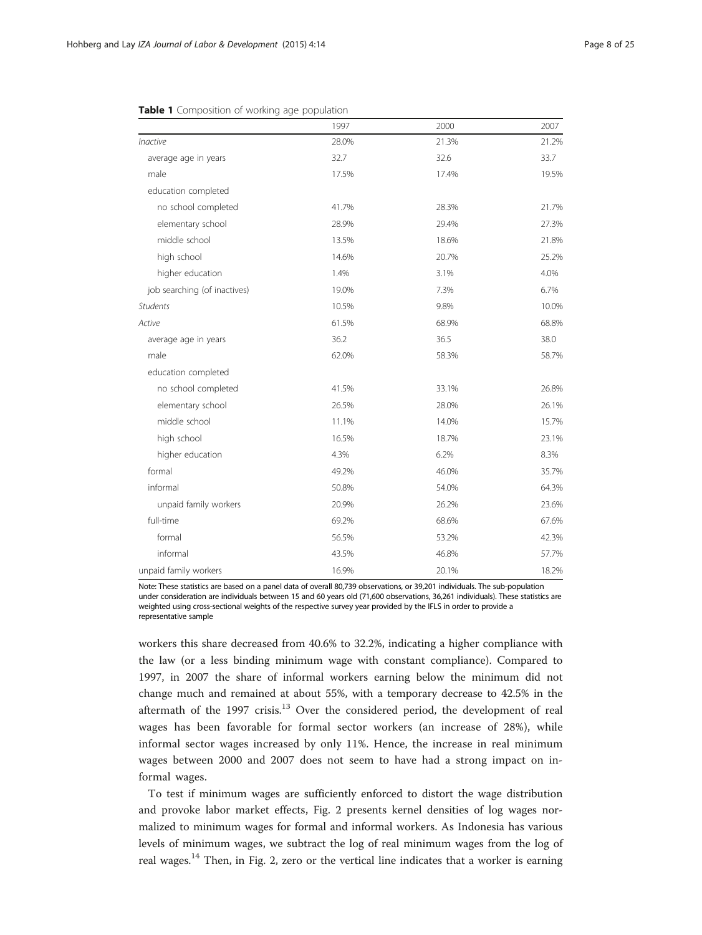|                              | 1997  | 2000  | 2007  |
|------------------------------|-------|-------|-------|
| <i>Inactive</i>              | 28.0% | 21.3% | 21.2% |
| average age in years         | 32.7  | 32.6  | 33.7  |
| male                         | 17.5% | 17.4% | 19.5% |
| education completed          |       |       |       |
| no school completed          | 41.7% | 28.3% | 21.7% |
| elementary school            | 28.9% | 29.4% | 27.3% |
| middle school                | 13.5% | 18.6% | 21.8% |
| high school                  | 14.6% | 20.7% | 25.2% |
| higher education             | 1.4%  | 3.1%  | 4.0%  |
| job searching (of inactives) | 19.0% | 7.3%  | 6.7%  |
| <b>Students</b>              | 10.5% | 9.8%  | 10.0% |
| Active                       | 61.5% | 68.9% | 68.8% |
| average age in years         | 36.2  | 36.5  | 38.0  |
| male                         | 62.0% | 58.3% | 58.7% |
| education completed          |       |       |       |
| no school completed          | 41.5% | 33.1% | 26.8% |
| elementary school            | 26.5% | 28.0% | 26.1% |
| middle school                | 11.1% | 14.0% | 15.7% |
| high school                  | 16.5% | 18.7% | 23.1% |
| higher education             | 4.3%  | 6.2%  | 8.3%  |
| formal                       | 49.2% | 46.0% | 35.7% |
| informal                     | 50.8% | 54.0% | 64.3% |
| unpaid family workers        | 20.9% | 26.2% | 23.6% |
| full-time                    | 69.2% | 68.6% | 67.6% |
| formal                       | 56.5% | 53.2% | 42.3% |
| informal                     | 43.5% | 46.8% | 57.7% |
| unpaid family workers        | 16.9% | 20.1% | 18.2% |

<span id="page-7-0"></span>

|  | <b>Table 1</b> Composition of working age population |  |  |  |
|--|------------------------------------------------------|--|--|--|
|--|------------------------------------------------------|--|--|--|

Note: These statistics are based on a panel data of overall 80,739 observations, or 39,201 individuals. The sub-population under consideration are individuals between 15 and 60 years old (71,600 observations, 36,261 individuals). These statistics are weighted using cross-sectional weights of the respective survey year provided by the IFLS in order to provide a representative sample

workers this share decreased from 40.6% to 32.2%, indicating a higher compliance with the law (or a less binding minimum wage with constant compliance). Compared to 1997, in 2007 the share of informal workers earning below the minimum did not change much and remained at about 55%, with a temporary decrease to 42.5% in the aftermath of the 1997 crisis. $^{13}$  Over the considered period, the development of real wages has been favorable for formal sector workers (an increase of 28%), while informal sector wages increased by only 11%. Hence, the increase in real minimum wages between 2000 and 2007 does not seem to have had a strong impact on informal wages.

To test if minimum wages are sufficiently enforced to distort the wage distribution and provoke labor market effects, Fig. [2](#page-8-0) presents kernel densities of log wages normalized to minimum wages for formal and informal workers. As Indonesia has various levels of minimum wages, we subtract the log of real minimum wages from the log of real wages.<sup>14</sup> Then, in Fig. [2,](#page-8-0) zero or the vertical line indicates that a worker is earning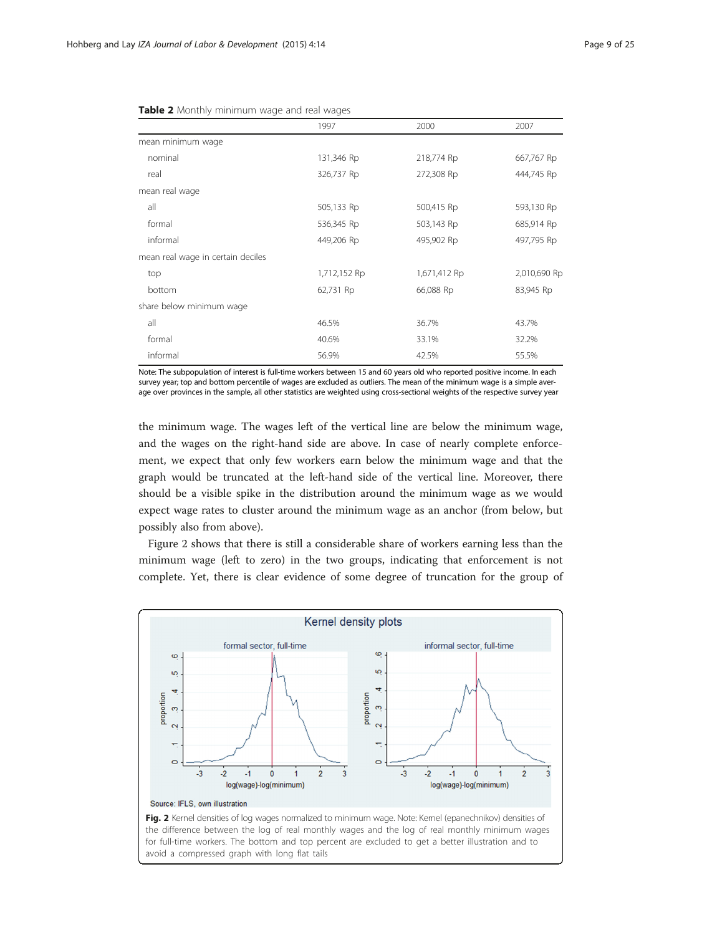|                                   | 1997         | 2000         | 2007         |
|-----------------------------------|--------------|--------------|--------------|
| mean minimum wage                 |              |              |              |
| nominal                           | 131,346 Rp   | 218,774 Rp   | 667,767 Rp   |
| real                              | 326,737 Rp   | 272,308 Rp   | 444,745 Rp   |
| mean real wage                    |              |              |              |
| all                               | 505,133 Rp   | 500,415 Rp   | 593,130 Rp   |
| formal                            | 536,345 Rp   | 503,143 Rp   | 685,914 Rp   |
| informal                          | 449,206 Rp   | 495,902 Rp   | 497,795 Rp   |
| mean real wage in certain deciles |              |              |              |
| top                               | 1,712,152 Rp | 1,671,412 Rp | 2,010,690 Rp |
| bottom                            | 62,731 Rp    | 66,088 Rp    | 83,945 Rp    |
| share below minimum wage          |              |              |              |
| all                               | 46.5%        | 36.7%        | 43.7%        |
| formal                            | 40.6%        | 33.1%        | 32.2%        |
| informal                          | 56.9%        | 42.5%        | 55.5%        |

<span id="page-8-0"></span>

|  |  | Table 2 Monthly minimum wage and real wages |  |  |  |  |
|--|--|---------------------------------------------|--|--|--|--|
|--|--|---------------------------------------------|--|--|--|--|

Note: The subpopulation of interest is full-time workers between 15 and 60 years old who reported positive income. In each survey year; top and bottom percentile of wages are excluded as outliers. The mean of the minimum wage is a simple average over provinces in the sample, all other statistics are weighted using cross-sectional weights of the respective survey year

the minimum wage. The wages left of the vertical line are below the minimum wage, and the wages on the right-hand side are above. In case of nearly complete enforcement, we expect that only few workers earn below the minimum wage and that the graph would be truncated at the left-hand side of the vertical line. Moreover, there should be a visible spike in the distribution around the minimum wage as we would expect wage rates to cluster around the minimum wage as an anchor (from below, but possibly also from above).

Figure 2 shows that there is still a considerable share of workers earning less than the minimum wage (left to zero) in the two groups, indicating that enforcement is not complete. Yet, there is clear evidence of some degree of truncation for the group of

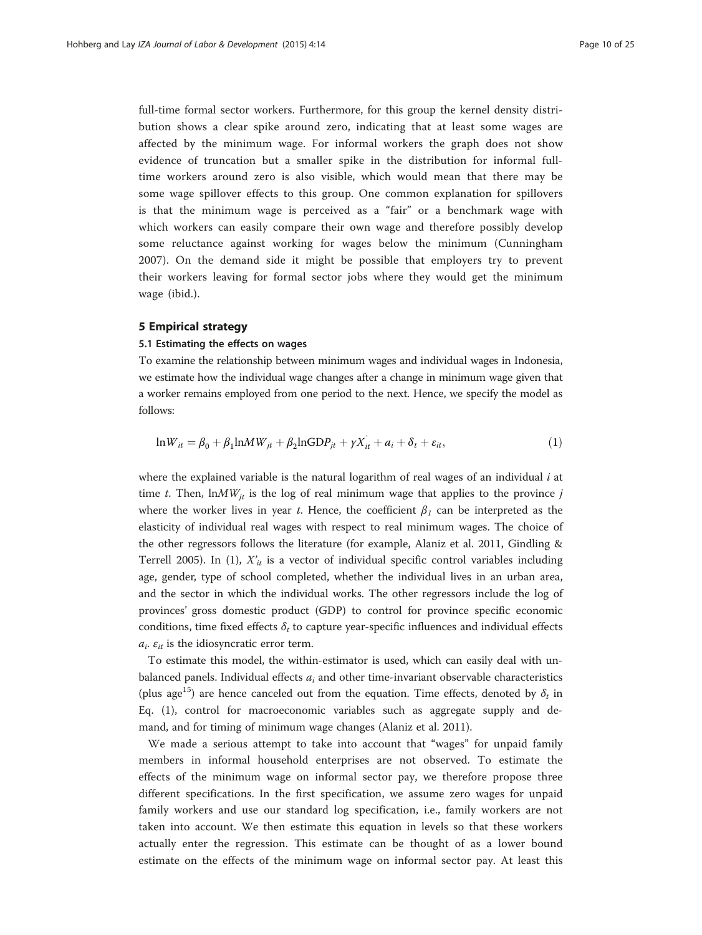<span id="page-9-0"></span>full-time formal sector workers. Furthermore, for this group the kernel density distribution shows a clear spike around zero, indicating that at least some wages are affected by the minimum wage. For informal workers the graph does not show evidence of truncation but a smaller spike in the distribution for informal fulltime workers around zero is also visible, which would mean that there may be some wage spillover effects to this group. One common explanation for spillovers is that the minimum wage is perceived as a "fair" or a benchmark wage with which workers can easily compare their own wage and therefore possibly develop some reluctance against working for wages below the minimum (Cunningham [2007\)](#page-23-0). On the demand side it might be possible that employers try to prevent their workers leaving for formal sector jobs where they would get the minimum wage (ibid.).

# 5 Empirical strategy

## 5.1 Estimating the effects on wages

To examine the relationship between minimum wages and individual wages in Indonesia, we estimate how the individual wage changes after a change in minimum wage given that a worker remains employed from one period to the next. Hence, we specify the model as follows:

$$
\ln W_{it} = \beta_0 + \beta_1 \ln M W_{jt} + \beta_2 \ln GDP_{jt} + \gamma X_{it}^{'} + a_i + \delta_t + \varepsilon_{it},
$$
\n(1)

where the explained variable is the natural logarithm of real wages of an individual  $i$  at time t. Then,  $lnMW_{it}$  is the log of real minimum wage that applies to the province j where the worker lives in year t. Hence, the coefficient  $\beta_1$  can be interpreted as the elasticity of individual real wages with respect to real minimum wages. The choice of the other regressors follows the literature (for example, Alaniz et al. [2011](#page-23-0), Gindling & Terrell [2005](#page-23-0)). In (1),  $X'_{it}$  is a vector of individual specific control variables including age, gender, type of school completed, whether the individual lives in an urban area, and the sector in which the individual works. The other regressors include the log of provinces' gross domestic product (GDP) to control for province specific economic conditions, time fixed effects  $\delta_t$  to capture year-specific influences and individual effects  $a_i$ .  $\varepsilon_{it}$  is the idiosyncratic error term.

To estimate this model, the within-estimator is used, which can easily deal with unbalanced panels. Individual effects  $a_i$  and other time-invariant observable characteristics (plus age<sup>15</sup>) are hence canceled out from the equation. Time effects, denoted by  $\delta_t$  in Eq. (1), control for macroeconomic variables such as aggregate supply and demand, and for timing of minimum wage changes (Alaniz et al. [2011](#page-23-0)).

We made a serious attempt to take into account that "wages" for unpaid family members in informal household enterprises are not observed. To estimate the effects of the minimum wage on informal sector pay, we therefore propose three different specifications. In the first specification, we assume zero wages for unpaid family workers and use our standard log specification, i.e., family workers are not taken into account. We then estimate this equation in levels so that these workers actually enter the regression. This estimate can be thought of as a lower bound estimate on the effects of the minimum wage on informal sector pay. At least this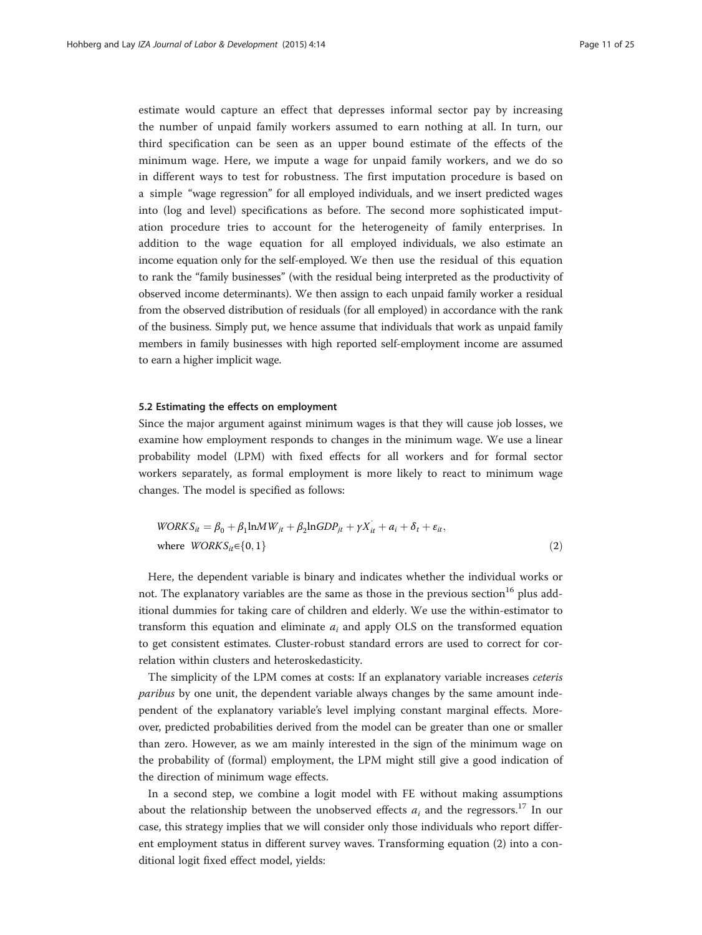estimate would capture an effect that depresses informal sector pay by increasing the number of unpaid family workers assumed to earn nothing at all. In turn, our third specification can be seen as an upper bound estimate of the effects of the minimum wage. Here, we impute a wage for unpaid family workers, and we do so in different ways to test for robustness. The first imputation procedure is based on a simple "wage regression" for all employed individuals, and we insert predicted wages into (log and level) specifications as before. The second more sophisticated imputation procedure tries to account for the heterogeneity of family enterprises. In addition to the wage equation for all employed individuals, we also estimate an income equation only for the self-employed. We then use the residual of this equation to rank the "family businesses" (with the residual being interpreted as the productivity of observed income determinants). We then assign to each unpaid family worker a residual from the observed distribution of residuals (for all employed) in accordance with the rank of the business. Simply put, we hence assume that individuals that work as unpaid family members in family businesses with high reported self-employment income are assumed to earn a higher implicit wage.

#### 5.2 Estimating the effects on employment

Since the major argument against minimum wages is that they will cause job losses, we examine how employment responds to changes in the minimum wage. We use a linear probability model (LPM) with fixed effects for all workers and for formal sector workers separately, as formal employment is more likely to react to minimum wage changes. The model is specified as follows:

$$
WORKS_{it} = \beta_0 + \beta_1 \ln MW_{jt} + \beta_2 \ln GDP_{jt} + \gamma X_{it}^{'} + a_i + \delta_t + \varepsilon_{it},
$$
  
where  $WORKS_{it} \in \{0, 1\}$  (2)

Here, the dependent variable is binary and indicates whether the individual works or not. The explanatory variables are the same as those in the previous section<sup>16</sup> plus additional dummies for taking care of children and elderly. We use the within-estimator to transform this equation and eliminate  $a_i$  and apply OLS on the transformed equation to get consistent estimates. Cluster-robust standard errors are used to correct for correlation within clusters and heteroskedasticity.

The simplicity of the LPM comes at costs: If an explanatory variable increases ceteris paribus by one unit, the dependent variable always changes by the same amount independent of the explanatory variable's level implying constant marginal effects. Moreover, predicted probabilities derived from the model can be greater than one or smaller than zero. However, as we am mainly interested in the sign of the minimum wage on the probability of (formal) employment, the LPM might still give a good indication of the direction of minimum wage effects.

In a second step, we combine a logit model with FE without making assumptions about the relationship between the unobserved effects  $a_i$  and the regressors.<sup>17</sup> In our case, this strategy implies that we will consider only those individuals who report different employment status in different survey waves. Transforming equation (2) into a conditional logit fixed effect model, yields: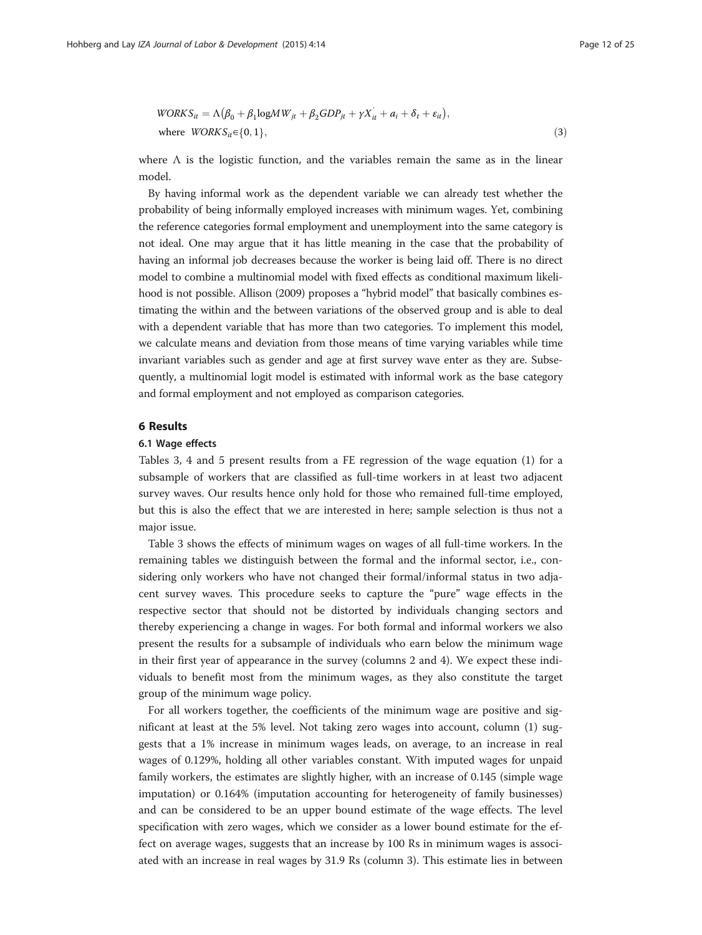$$
WORKS_{it} = \Lambda(\beta_0 + \beta_1 \log MW_{jt} + \beta_2 GDP_{jt} + \gamma X_{it}^{'} + a_i + \delta_t + \varepsilon_{it}),
$$
  
where  $WORKS_{it} \in \{0, 1\},$  (3)

where  $\Lambda$  is the logistic function, and the variables remain the same as in the linear model.

By having informal work as the dependent variable we can already test whether the probability of being informally employed increases with minimum wages. Yet, combining the reference categories formal employment and unemployment into the same category is not ideal. One may argue that it has little meaning in the case that the probability of having an informal job decreases because the worker is being laid off. There is no direct model to combine a multinomial model with fixed effects as conditional maximum likelihood is not possible. Allison ([2009\)](#page-23-0) proposes a "hybrid model" that basically combines estimating the within and the between variations of the observed group and is able to deal with a dependent variable that has more than two categories. To implement this model, we calculate means and deviation from those means of time varying variables while time invariant variables such as gender and age at first survey wave enter as they are. Subsequently, a multinomial logit model is estimated with informal work as the base category and formal employment and not employed as comparison categories.

## 6 Results

# 6.1 Wage effects

Tables [3](#page-12-0), [4](#page-13-0) and [5](#page-14-0) present results from a FE regression of the wage equation (1) for a subsample of workers that are classified as full-time workers in at least two adjacent survey waves. Our results hence only hold for those who remained full-time employed, but this is also the effect that we are interested in here; sample selection is thus not a major issue.

Table [3](#page-12-0) shows the effects of minimum wages on wages of all full-time workers. In the remaining tables we distinguish between the formal and the informal sector, i.e., considering only workers who have not changed their formal/informal status in two adjacent survey waves. This procedure seeks to capture the "pure" wage effects in the respective sector that should not be distorted by individuals changing sectors and thereby experiencing a change in wages. For both formal and informal workers we also present the results for a subsample of individuals who earn below the minimum wage in their first year of appearance in the survey (columns 2 and 4). We expect these individuals to benefit most from the minimum wages, as they also constitute the target group of the minimum wage policy.

For all workers together, the coefficients of the minimum wage are positive and significant at least at the 5% level. Not taking zero wages into account, column (1) suggests that a 1% increase in minimum wages leads, on average, to an increase in real wages of 0.129%, holding all other variables constant. With imputed wages for unpaid family workers, the estimates are slightly higher, with an increase of 0.145 (simple wage imputation) or 0.164% (imputation accounting for heterogeneity of family businesses) and can be considered to be an upper bound estimate of the wage effects. The level specification with zero wages, which we consider as a lower bound estimate for the effect on average wages, suggests that an increase by 100 Rs in minimum wages is associated with an increase in real wages by 31.9 Rs (column 3). This estimate lies in between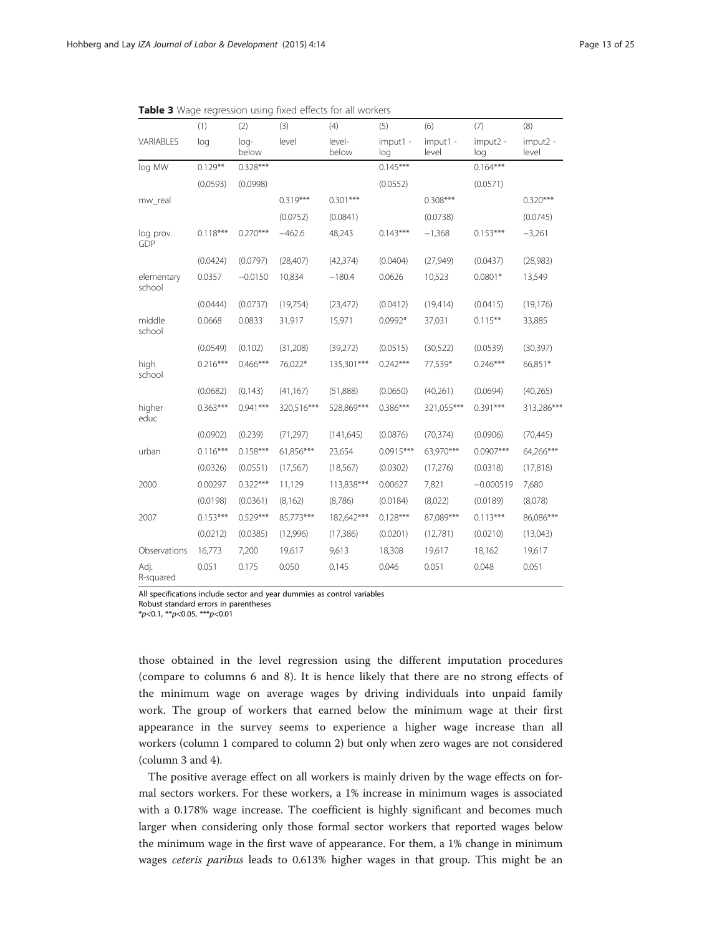<span id="page-12-0"></span>Table 3 Wage regression using fixed effects for all workers

|                      | (1)        | (2)           | (3)        | (4)             | (5)             | (6)               | (7)             | (8)               |
|----------------------|------------|---------------|------------|-----------------|-----------------|-------------------|-----------------|-------------------|
| VARIABLES            | log        | log-<br>below | level      | level-<br>below | imput1 -<br>log | imput1 -<br>level | imput2 -<br>log | imput2 -<br>level |
| log MW               | $0.129**$  | $0.328***$    |            |                 | $0.145***$      |                   | $0.164***$      |                   |
|                      | (0.0593)   | (0.0998)      |            |                 | (0.0552)        |                   | (0.0571)        |                   |
| mw_real              |            |               | $0.319***$ | $0.301***$      |                 | $0.308***$        |                 | $0.320***$        |
|                      |            |               | (0.0752)   | (0.0841)        |                 | (0.0738)          |                 | (0.0745)          |
| log prov.<br>GDP     | $0.118***$ | $0.270***$    | $-462.6$   | 48,243          | $0.143***$      | $-1,368$          | $0.153***$      | $-3,261$          |
|                      | (0.0424)   | (0.0797)      | (28, 407)  | (42, 374)       | (0.0404)        | (27, 949)         | (0.0437)        | (28,983)          |
| elementary<br>school | 0.0357     | $-0.0150$     | 10,834     | $-180.4$        | 0.0626          | 10,523            | $0.0801*$       | 13,549            |
|                      | (0.0444)   | (0.0737)      | (19, 754)  | (23, 472)       | (0.0412)        | (19, 414)         | (0.0415)        | (19, 176)         |
| middle<br>school     | 0.0668     | 0.0833        | 31,917     | 15,971          | $0.0992*$       | 37,031            | $0.115***$      | 33,885            |
|                      | (0.0549)   | (0.102)       | (31,208)   | (39,272)        | (0.0515)        | (30,522)          | (0.0539)        | (30, 397)         |
| high<br>school       | $0.216***$ | $0.466***$    | 76,022*    | 135,301***      | $0.242***$      | 77,539*           | $0.246***$      | 66,851*           |
|                      | (0.0682)   | (0.143)       | (41, 167)  | (51,888)        | (0.0650)        | (40,261)          | (0.0694)        | (40,265)          |
| higher<br>educ       | $0.363***$ | $0.941***$    | 320,516*** | 528,869***      | $0.386***$      | 321,055***        | $0.391***$      | 313,286***        |
|                      | (0.0902)   | (0.239)       | (71, 297)  | (141, 645)      | (0.0876)        | (70, 374)         | (0.0906)        | (70, 445)         |
| urban                | $0.116***$ | $0.158***$    | 61,856***  | 23,654          | $0.0915***$     | 63,970***         | $0.0907***$     | 64,266***         |
|                      | (0.0326)   | (0.0551)      | (17, 567)  | (18, 567)       | (0.0302)        | (17,276)          | (0.0318)        | (17, 818)         |
| 2000                 | 0.00297    | $0.322***$    | 11,129     | 113,838***      | 0.00627         | 7,821             | $-0.000519$     | 7,680             |
|                      | (0.0198)   | (0.0361)      | (8, 162)   | (8,786)         | (0.0184)        | (8,022)           | (0.0189)        | (8,078)           |
| 2007                 | $0.153***$ | $0.529***$    | 85,773***  | 182,642***      | $0.128***$      | 87,089***         | $0.113***$      | 86,086***         |
|                      | (0.0212)   | (0.0385)      | (12,996)   | (17, 386)       | (0.0201)        | (12,781)          | (0.0210)        | (13,043)          |
| Observations         | 16,773     | 7,200         | 19,617     | 9,613           | 18,308          | 19,617            | 18,162          | 19,617            |
| Adj.<br>R-squared    | 0.051      | 0.175         | 0.050      | 0.145           | 0.046           | 0.051             | 0.048           | 0.051             |

All specifications include sector and year dummies as control variables

Robust standard errors in parentheses

 $*_{p<0.1}$ ,  $*_{p<0.05}$ ,  $**_{p<0.01}$ 

those obtained in the level regression using the different imputation procedures (compare to columns 6 and 8). It is hence likely that there are no strong effects of the minimum wage on average wages by driving individuals into unpaid family work. The group of workers that earned below the minimum wage at their first appearance in the survey seems to experience a higher wage increase than all workers (column 1 compared to column 2) but only when zero wages are not considered (column 3 and 4).

The positive average effect on all workers is mainly driven by the wage effects on formal sectors workers. For these workers, a 1% increase in minimum wages is associated with a 0.178% wage increase. The coefficient is highly significant and becomes much larger when considering only those formal sector workers that reported wages below the minimum wage in the first wave of appearance. For them, a 1% change in minimum wages ceteris paribus leads to 0.613% higher wages in that group. This might be an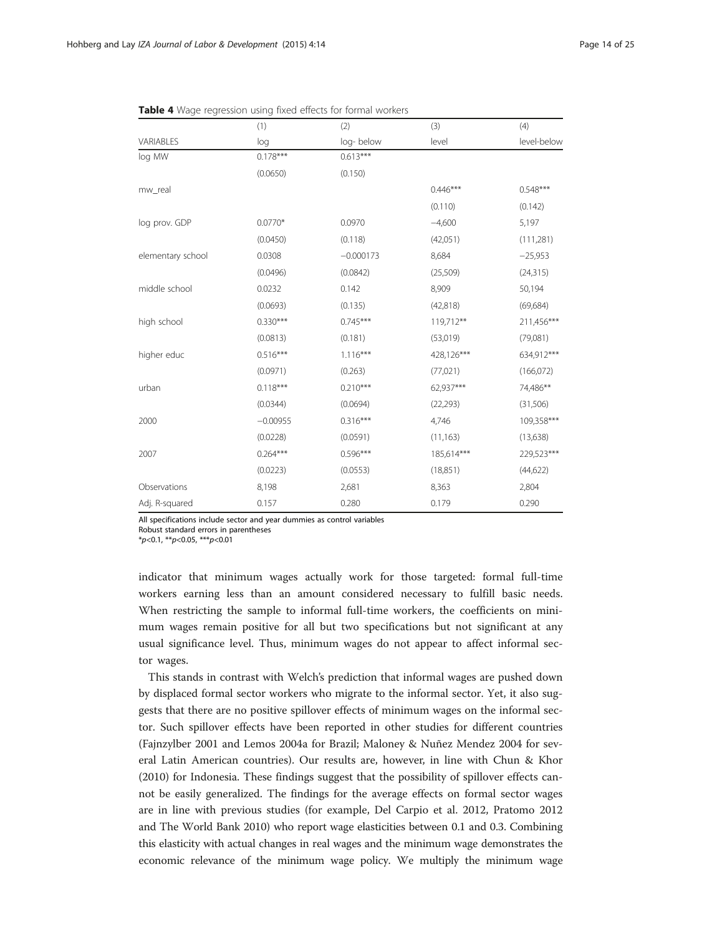|                   | (1)        | (2)         | (3)        | (4)         |
|-------------------|------------|-------------|------------|-------------|
| VARIABLES         | log        | log-below   | level      | level-below |
| log MW            | $0.178***$ | $0.613***$  |            |             |
|                   | (0.0650)   | (0.150)     |            |             |
| mw_real           |            |             | $0.446***$ | $0.548***$  |
|                   |            |             | (0.110)    | (0.142)     |
| log prov. GDP     | $0.0770*$  | 0.0970      | $-4,600$   | 5,197       |
|                   | (0.0450)   | (0.118)     | (42,051)   | (111,281)   |
| elementary school | 0.0308     | $-0.000173$ | 8,684      | $-25,953$   |
|                   | (0.0496)   | (0.0842)    | (25,509)   | (24, 315)   |
| middle school     | 0.0232     | 0.142       | 8,909      | 50,194      |
|                   | (0.0693)   | (0.135)     | (42,818)   | (69, 684)   |
| high school       | $0.330***$ | $0.745***$  | 119,712**  | 211,456***  |
|                   | (0.0813)   | (0.181)     | (53,019)   | (79,081)    |
| higher educ       | $0.516***$ | $1.116***$  | 428,126*** | 634,912***  |
|                   | (0.0971)   | (0.263)     | (77, 021)  | (166,072)   |
| urban             | $0.118***$ | $0.210***$  | 62,937***  | 74,486**    |
|                   | (0.0344)   | (0.0694)    | (22, 293)  | (31, 506)   |
| 2000              | $-0.00955$ | $0.316***$  | 4,746      | 109,358***  |
|                   | (0.0228)   | (0.0591)    | (11, 163)  | (13,638)    |
| 2007              | $0.264***$ | $0.596***$  | 185,614*** | 229,523***  |
|                   | (0.0223)   | (0.0553)    | (18, 851)  | (44, 622)   |
| Observations      | 8,198      | 2,681       | 8,363      | 2,804       |
| Adj. R-squared    | 0.157      | 0.280       | 0.179      | 0.290       |

<span id="page-13-0"></span>

All specifications include sector and year dummies as control variables

Robust standard errors in parentheses

 $*p<0.1$ ,  $*p<0.05$ ,  $**p<0.01$ 

indicator that minimum wages actually work for those targeted: formal full-time workers earning less than an amount considered necessary to fulfill basic needs. When restricting the sample to informal full-time workers, the coefficients on minimum wages remain positive for all but two specifications but not significant at any usual significance level. Thus, minimum wages do not appear to affect informal sector wages.

This stands in contrast with Welch's prediction that informal wages are pushed down by displaced formal sector workers who migrate to the informal sector. Yet, it also suggests that there are no positive spillover effects of minimum wages on the informal sector. Such spillover effects have been reported in other studies for different countries (Fajnzylber [2001](#page-23-0) and Lemos [2004a](#page-24-0) for Brazil; Maloney & Nuñez Mendez [2004](#page-24-0) for several Latin American countries). Our results are, however, in line with Chun & Khor ([2010](#page-23-0)) for Indonesia. These findings suggest that the possibility of spillover effects cannot be easily generalized. The findings for the average effects on formal sector wages are in line with previous studies (for example, Del Carpio et al. [2012](#page-23-0), Pratomo [2012](#page-24-0) and The World Bank [2010](#page-24-0)) who report wage elasticities between 0.1 and 0.3. Combining this elasticity with actual changes in real wages and the minimum wage demonstrates the economic relevance of the minimum wage policy. We multiply the minimum wage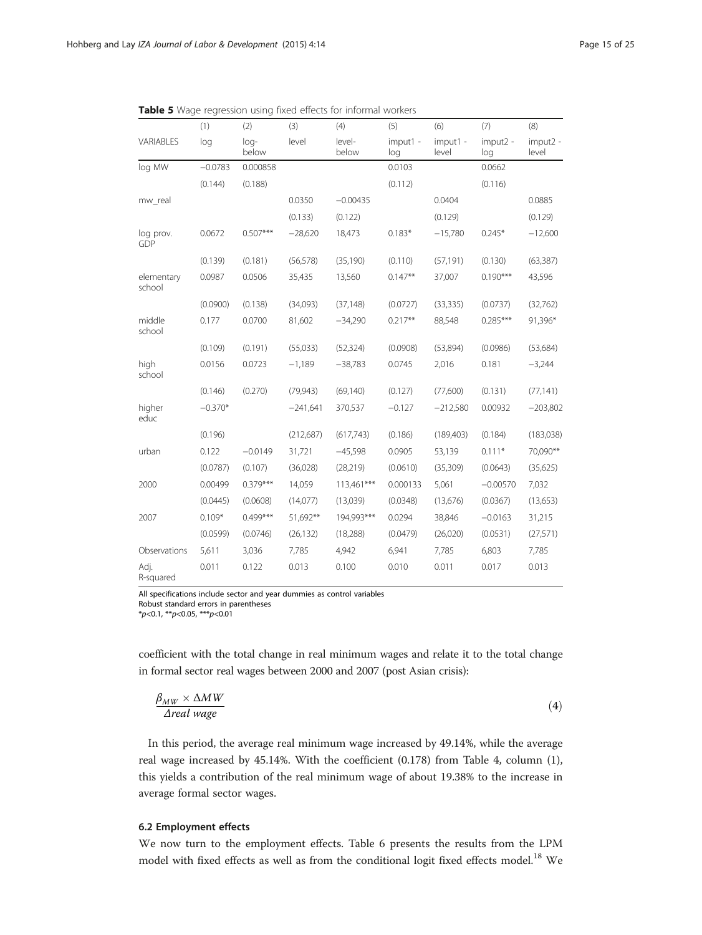|                      | (1)       | (2)           | (3)        | (4)             | (5)             | (6)               | (7)             | (8)               |
|----------------------|-----------|---------------|------------|-----------------|-----------------|-------------------|-----------------|-------------------|
| VARIABLES            | log       | log-<br>below | level      | level-<br>below | imput1 -<br>log | imput1 -<br>level | imput2 -<br>log | imput2 -<br>level |
| log MW               | $-0.0783$ | 0.000858      |            |                 | 0.0103          |                   | 0.0662          |                   |
|                      | (0.144)   | (0.188)       |            |                 | (0.112)         |                   | (0.116)         |                   |
| mw_real              |           |               | 0.0350     | $-0.00435$      |                 | 0.0404            |                 | 0.0885            |
|                      |           |               | (0.133)    | (0.122)         |                 | (0.129)           |                 | (0.129)           |
| log prov.<br>GDP     | 0.0672    | $0.507***$    | $-28,620$  | 18,473          | $0.183*$        | $-15,780$         | $0.245*$        | $-12,600$         |
|                      | (0.139)   | (0.181)       | (56, 578)  | (35, 190)       | (0.110)         | (57, 191)         | (0.130)         | (63, 387)         |
| elementary<br>school | 0.0987    | 0.0506        | 35,435     | 13,560          | $0.147**$       | 37,007            | $0.190***$      | 43,596            |
|                      | (0.0900)  | (0.138)       | (34,093)   | (37, 148)       | (0.0727)        | (33, 335)         | (0.0737)        | (32,762)          |
| middle<br>school     | 0.177     | 0.0700        | 81,602     | $-34,290$       | $0.217**$       | 88,548            | $0.285***$      | 91,396*           |
|                      | (0.109)   | (0.191)       | (55,033)   | (52, 324)       | (0.0908)        | (53,894)          | (0.0986)        | (53, 684)         |
| high<br>school       | 0.0156    | 0.0723        | $-1,189$   | $-38,783$       | 0.0745          | 2,016             | 0.181           | $-3,244$          |
|                      | (0.146)   | (0.270)       | (79, 943)  | (69, 140)       | (0.127)         | (77,600)          | (0.131)         | (77, 141)         |
| higher<br>educ       | $-0.370*$ |               | $-241,641$ | 370,537         | $-0.127$        | $-212,580$        | 0.00932         | $-203,802$        |
|                      | (0.196)   |               | (212,687)  | (617,743)       | (0.186)         | (189,403)         | (0.184)         | (183,038)         |
| urban                | 0.122     | $-0.0149$     | 31,721     | $-45,598$       | 0.0905          | 53,139            | $0.111*$        | 70,090**          |
|                      | (0.0787)  | (0.107)       | (36,028)   | (28, 219)       | (0.0610)        | (35,309)          | (0.0643)        | (35,625)          |
| 2000                 | 0.00499   | $0.379***$    | 14,059     | 113,461***      | 0.000133        | 5,061             | $-0.00570$      | 7,032             |
|                      | (0.0445)  | (0.0608)      | (14,077)   | (13,039)        | (0.0348)        | (13,676)          | (0.0367)        | (13,653)          |
| 2007                 | $0.109*$  | $0.499***$    | 51,692**   | 194,993***      | 0.0294          | 38,846            | $-0.0163$       | 31,215            |
|                      | (0.0599)  | (0.0746)      | (26, 132)  | (18, 288)       | (0.0479)        | (26,020)          | (0.0531)        | (27,571)          |
| Observations         | 5,611     | 3,036         | 7,785      | 4,942           | 6,941           | 7,785             | 6,803           | 7,785             |
| Adj.<br>R-squared    | 0.011     | 0.122         | 0.013      | 0.100           | 0.010           | 0.011             | 0.017           | 0.013             |

<span id="page-14-0"></span>Table 5 Wage regression using fixed effects for informal workers

All specifications include sector and year dummies as control variables

Robust standard errors in parentheses

 $*_{p<0.1}$ ,  $*_{p<0.05}$ ,  $**_{p<0.01}$ 

coefficient with the total change in real minimum wages and relate it to the total change in formal sector real wages between 2000 and 2007 (post Asian crisis):

$$
\frac{\beta_{MW} \times \Delta MW}{\Delta real \,\, wage} \tag{4}
$$

In this period, the average real minimum wage increased by 49.14%, while the average real wage increased by 45.14%. With the coefficient (0.178) from Table [4,](#page-13-0) column (1), this yields a contribution of the real minimum wage of about 19.38% to the increase in average formal sector wages.

# 6.2 Employment effects

We now turn to the employment effects. Table [6](#page-15-0) presents the results from the LPM model with fixed effects as well as from the conditional logit fixed effects model.<sup>18</sup> We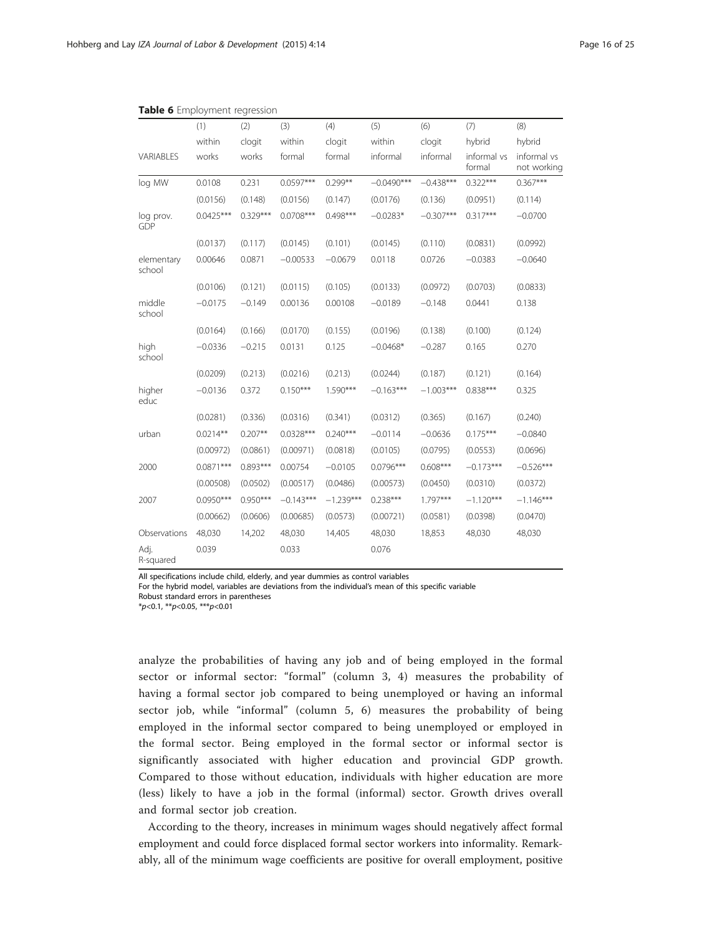|                      | (1)         | (2)        | (3)         | (4)         | (5)          | (6)         | (7)                   | (8)                        |
|----------------------|-------------|------------|-------------|-------------|--------------|-------------|-----------------------|----------------------------|
|                      | within      | clogit     | within      | clogit      | within       | clogit      | hybrid                | hybrid                     |
| VARIABLES            | works       | works      | formal      | formal      | informal     | informal    | informal vs<br>formal | informal vs<br>not working |
| log MW               | 0.0108      | 0.231      | $0.0597***$ | $0.299**$   | $-0.0490***$ | $-0.438***$ | $0.322***$            | $0.367***$                 |
|                      | (0.0156)    | (0.148)    | (0.0156)    | (0.147)     | (0.0176)     | (0.136)     | (0.0951)              | (0.114)                    |
| log prov.<br>GDP     | $0.0425***$ | $0.329***$ | $0.0708***$ | $0.498***$  | $-0.0283*$   | $-0.307***$ | $0.317***$            | $-0.0700$                  |
|                      | (0.0137)    | (0.117)    | (0.0145)    | (0.101)     | (0.0145)     | (0.110)     | (0.0831)              | (0.0992)                   |
| elementary<br>school | 0.00646     | 0.0871     | $-0.00533$  | $-0.0679$   | 0.0118       | 0.0726      | $-0.0383$             | $-0.0640$                  |
|                      | (0.0106)    | (0.121)    | (0.0115)    | (0.105)     | (0.0133)     | (0.0972)    | (0.0703)              | (0.0833)                   |
| middle<br>school     | $-0.0175$   | $-0.149$   | 0.00136     | 0.00108     | $-0.0189$    | $-0.148$    | 0.0441                | 0.138                      |
|                      | (0.0164)    | (0.166)    | (0.0170)    | (0.155)     | (0.0196)     | (0.138)     | (0.100)               | (0.124)                    |
| high<br>school       | $-0.0336$   | $-0.215$   | 0.0131      | 0.125       | $-0.0468*$   | $-0.287$    | 0.165                 | 0.270                      |
|                      | (0.0209)    | (0.213)    | (0.0216)    | (0.213)     | (0.0244)     | (0.187)     | (0.121)               | (0.164)                    |
| higher<br>educ       | $-0.0136$   | 0.372      | $0.150***$  | $1.590***$  | $-0.163***$  | $-1.003***$ | $0.838***$            | 0.325                      |
|                      | (0.0281)    | (0.336)    | (0.0316)    | (0.341)     | (0.0312)     | (0.365)     | (0.167)               | (0.240)                    |
| urban                | $0.0214**$  | $0.207**$  | $0.0328***$ | $0.240***$  | $-0.0114$    | $-0.0636$   | $0.175***$            | $-0.0840$                  |
|                      | (0.00972)   | (0.0861)   | (0.00971)   | (0.0818)    | (0.0105)     | (0.0795)    | (0.0553)              | (0.0696)                   |
| 2000                 | $0.0871***$ | $0.893***$ | 0.00754     | $-0.0105$   | $0.0796***$  | $0.608***$  | $-0.173***$           | $-0.526***$                |
|                      | (0.00508)   | (0.0502)   | (0.00517)   | (0.0486)    | (0.00573)    | (0.0450)    | (0.0310)              | (0.0372)                   |
| 2007                 | $0.0950***$ | $0.950***$ | $-0.143***$ | $-1.239***$ | $0.238***$   | $1.797***$  | $-1.120***$           | $-1.146***$                |
|                      | (0.00662)   | (0.0606)   | (0.00685)   | (0.0573)    | (0.00721)    | (0.0581)    | (0.0398)              | (0.0470)                   |
| Observations         | 48,030      | 14,202     | 48,030      | 14,405      | 48,030       | 18,853      | 48,030                | 48,030                     |
| Adj.<br>R-squared    | 0.039       |            | 0.033       |             | 0.076        |             |                       |                            |

#### <span id="page-15-0"></span>Table 6 Employment regression

All specifications include child, elderly, and year dummies as control variables

For the hybrid model, variables are deviations from the individual's mean of this specific variable

Robust standard errors in parentheses

 $*p<0.1$ ,  $**p<0.05$ ,  $***p<0.01$ 

analyze the probabilities of having any job and of being employed in the formal sector or informal sector: "formal" (column 3, 4) measures the probability of having a formal sector job compared to being unemployed or having an informal sector job, while "informal" (column 5, 6) measures the probability of being employed in the informal sector compared to being unemployed or employed in the formal sector. Being employed in the formal sector or informal sector is significantly associated with higher education and provincial GDP growth. Compared to those without education, individuals with higher education are more (less) likely to have a job in the formal (informal) sector. Growth drives overall and formal sector job creation.

According to the theory, increases in minimum wages should negatively affect formal employment and could force displaced formal sector workers into informality. Remarkably, all of the minimum wage coefficients are positive for overall employment, positive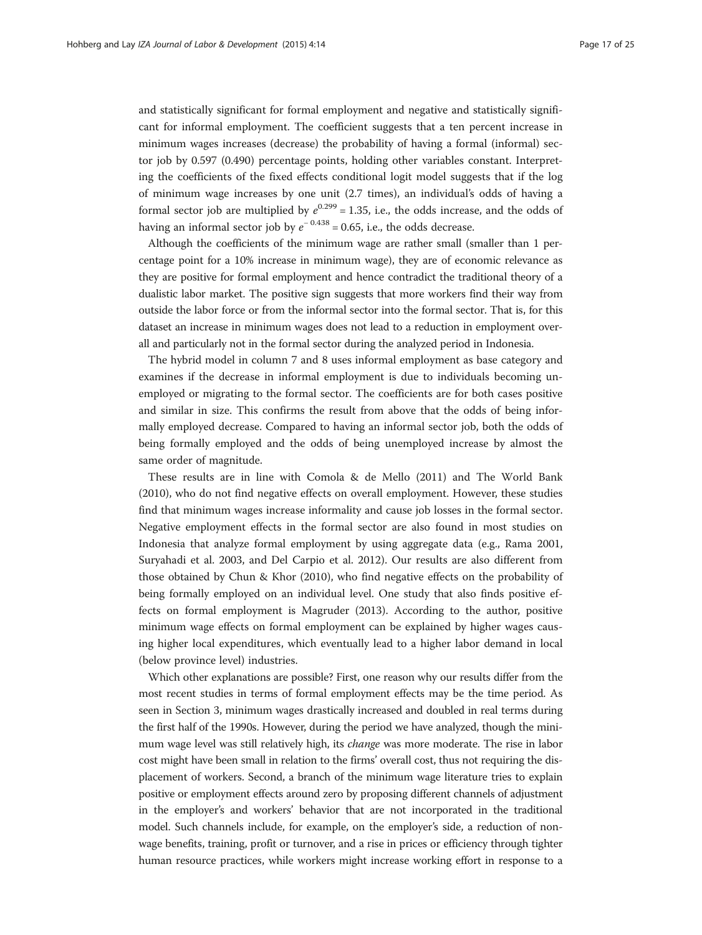and statistically significant for formal employment and negative and statistically significant for informal employment. The coefficient suggests that a ten percent increase in minimum wages increases (decrease) the probability of having a formal (informal) sector job by 0.597 (0.490) percentage points, holding other variables constant. Interpreting the coefficients of the fixed effects conditional logit model suggests that if the log of minimum wage increases by one unit (2.7 times), an individual's odds of having a formal sector job are multiplied by  $e^{0.299}$  = 1.35, i.e., the odds increase, and the odds of having an informal sector job by  $e^{-0.438}$  = 0.65, i.e., the odds decrease.

Although the coefficients of the minimum wage are rather small (smaller than 1 percentage point for a 10% increase in minimum wage), they are of economic relevance as they are positive for formal employment and hence contradict the traditional theory of a dualistic labor market. The positive sign suggests that more workers find their way from outside the labor force or from the informal sector into the formal sector. That is, for this dataset an increase in minimum wages does not lead to a reduction in employment overall and particularly not in the formal sector during the analyzed period in Indonesia.

The hybrid model in column 7 and 8 uses informal employment as base category and examines if the decrease in informal employment is due to individuals becoming unemployed or migrating to the formal sector. The coefficients are for both cases positive and similar in size. This confirms the result from above that the odds of being informally employed decrease. Compared to having an informal sector job, both the odds of being formally employed and the odds of being unemployed increase by almost the same order of magnitude.

These results are in line with Comola & de Mello [\(2011\)](#page-23-0) and The World Bank ([2010](#page-24-0)), who do not find negative effects on overall employment. However, these studies find that minimum wages increase informality and cause job losses in the formal sector. Negative employment effects in the formal sector are also found in most studies on Indonesia that analyze formal employment by using aggregate data (e.g., Rama [2001](#page-24-0), Suryahadi et al. [2003,](#page-24-0) and Del Carpio et al. [2012](#page-23-0)). Our results are also different from those obtained by Chun & Khor ([2010\)](#page-23-0), who find negative effects on the probability of being formally employed on an individual level. One study that also finds positive effects on formal employment is Magruder ([2013](#page-24-0)). According to the author, positive minimum wage effects on formal employment can be explained by higher wages causing higher local expenditures, which eventually lead to a higher labor demand in local (below province level) industries.

Which other explanations are possible? First, one reason why our results differ from the most recent studies in terms of formal employment effects may be the time period. As seen in [Section 3](#page-4-0), minimum wages drastically increased and doubled in real terms during the first half of the 1990s. However, during the period we have analyzed, though the minimum wage level was still relatively high, its change was more moderate. The rise in labor cost might have been small in relation to the firms' overall cost, thus not requiring the displacement of workers. Second, a branch of the minimum wage literature tries to explain positive or employment effects around zero by proposing different channels of adjustment in the employer's and workers' behavior that are not incorporated in the traditional model. Such channels include, for example, on the employer's side, a reduction of nonwage benefits, training, profit or turnover, and a rise in prices or efficiency through tighter human resource practices, while workers might increase working effort in response to a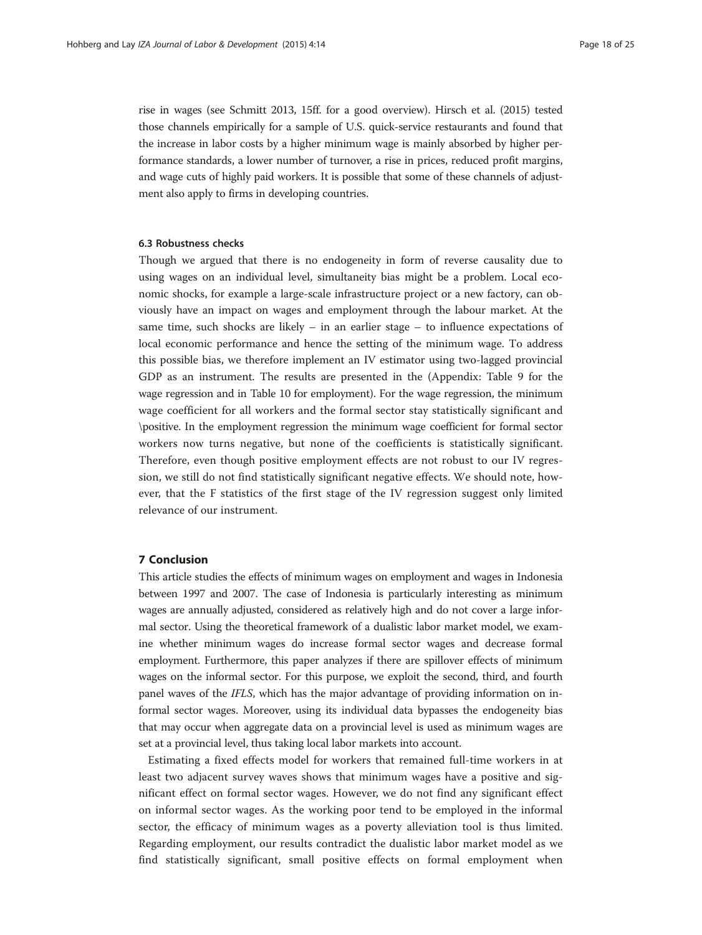rise in wages (see Schmitt [2013](#page-24-0), 15ff. for a good overview). Hirsch et al. ([2015\)](#page-23-0) tested those channels empirically for a sample of U.S. quick-service restaurants and found that the increase in labor costs by a higher minimum wage is mainly absorbed by higher performance standards, a lower number of turnover, a rise in prices, reduced profit margins, and wage cuts of highly paid workers. It is possible that some of these channels of adjustment also apply to firms in developing countries.

# 6.3 Robustness checks

Though we argued that there is no endogeneity in form of reverse causality due to using wages on an individual level, simultaneity bias might be a problem. Local economic shocks, for example a large-scale infrastructure project or a new factory, can obviously have an impact on wages and employment through the labour market. At the same time, such shocks are likely – in an earlier stage – to influence expectations of local economic performance and hence the setting of the minimum wage. To address this possible bias, we therefore implement an IV estimator using two-lagged provincial GDP as an instrument. The results are presented in the (Appendix: Table [9](#page-22-0) for the wage regression and in Table [10](#page-22-0) for employment). For the wage regression, the minimum wage coefficient for all workers and the formal sector stay statistically significant and \positive. In the employment regression the minimum wage coefficient for formal sector workers now turns negative, but none of the coefficients is statistically significant. Therefore, even though positive employment effects are not robust to our IV regression, we still do not find statistically significant negative effects. We should note, however, that the F statistics of the first stage of the IV regression suggest only limited relevance of our instrument.

# 7 Conclusion

This article studies the effects of minimum wages on employment and wages in Indonesia between 1997 and 2007. The case of Indonesia is particularly interesting as minimum wages are annually adjusted, considered as relatively high and do not cover a large informal sector. Using the theoretical framework of a dualistic labor market model, we examine whether minimum wages do increase formal sector wages and decrease formal employment. Furthermore, this paper analyzes if there are spillover effects of minimum wages on the informal sector. For this purpose, we exploit the second, third, and fourth panel waves of the IFLS, which has the major advantage of providing information on informal sector wages. Moreover, using its individual data bypasses the endogeneity bias that may occur when aggregate data on a provincial level is used as minimum wages are set at a provincial level, thus taking local labor markets into account.

Estimating a fixed effects model for workers that remained full-time workers in at least two adjacent survey waves shows that minimum wages have a positive and significant effect on formal sector wages. However, we do not find any significant effect on informal sector wages. As the working poor tend to be employed in the informal sector, the efficacy of minimum wages as a poverty alleviation tool is thus limited. Regarding employment, our results contradict the dualistic labor market model as we find statistically significant, small positive effects on formal employment when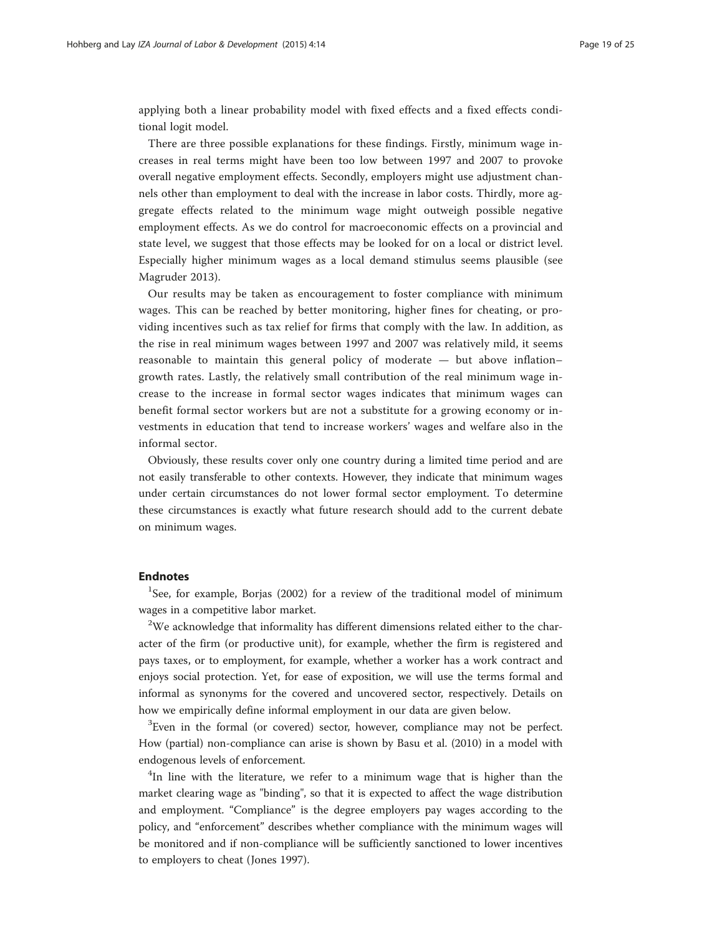applying both a linear probability model with fixed effects and a fixed effects conditional logit model.

There are three possible explanations for these findings. Firstly, minimum wage increases in real terms might have been too low between 1997 and 2007 to provoke overall negative employment effects. Secondly, employers might use adjustment channels other than employment to deal with the increase in labor costs. Thirdly, more aggregate effects related to the minimum wage might outweigh possible negative employment effects. As we do control for macroeconomic effects on a provincial and state level, we suggest that those effects may be looked for on a local or district level. Especially higher minimum wages as a local demand stimulus seems plausible (see Magruder [2013\)](#page-24-0).

Our results may be taken as encouragement to foster compliance with minimum wages. This can be reached by better monitoring, higher fines for cheating, or providing incentives such as tax relief for firms that comply with the law. In addition, as the rise in real minimum wages between 1997 and 2007 was relatively mild, it seems reasonable to maintain this general policy of moderate — but above inflation– growth rates. Lastly, the relatively small contribution of the real minimum wage increase to the increase in formal sector wages indicates that minimum wages can benefit formal sector workers but are not a substitute for a growing economy or investments in education that tend to increase workers' wages and welfare also in the informal sector.

Obviously, these results cover only one country during a limited time period and are not easily transferable to other contexts. However, they indicate that minimum wages under certain circumstances do not lower formal sector employment. To determine these circumstances is exactly what future research should add to the current debate on minimum wages.

## Endnotes

<sup>1</sup>See, for example, Borjas [\(2002\)](#page-23-0) for a review of the traditional model of minimum wages in a competitive labor market.

 $2$ We acknowledge that informality has different dimensions related either to the character of the firm (or productive unit), for example, whether the firm is registered and pays taxes, or to employment, for example, whether a worker has a work contract and enjoys social protection. Yet, for ease of exposition, we will use the terms formal and informal as synonyms for the covered and uncovered sector, respectively. Details on how we empirically define informal employment in our data are given below.

 $3$ Even in the formal (or covered) sector, however, compliance may not be perfect. How (partial) non-compliance can arise is shown by Basu et al. [\(2010\)](#page-23-0) in a model with endogenous levels of enforcement.

<sup>4</sup>In line with the literature, we refer to a minimum wage that is higher than the market clearing wage as "binding", so that it is expected to affect the wage distribution and employment. "Compliance" is the degree employers pay wages according to the policy, and "enforcement" describes whether compliance with the minimum wages will be monitored and if non-compliance will be sufficiently sanctioned to lower incentives to employers to cheat (Jones [1997](#page-23-0)).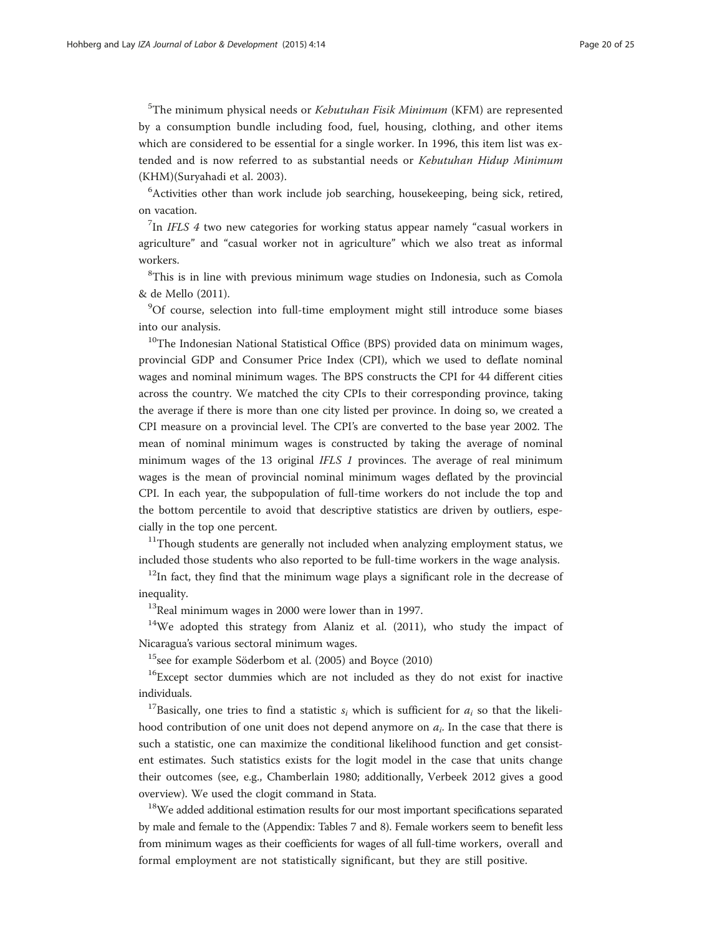<sup>5</sup>The minimum physical needs or *Kebutuhan Fisik Minimum* (KFM) are represented by a consumption bundle including food, fuel, housing, clothing, and other items which are considered to be essential for a single worker. In 1996, this item list was extended and is now referred to as substantial needs or Kebutuhan Hidup Minimum (KHM)(Suryahadi et al. [2003\)](#page-24-0).

<sup>6</sup>Activities other than work include job searching, housekeeping, being sick, retired, on vacation.

 $7$ In IFLS 4 two new categories for working status appear namely "casual workers in agriculture" and "casual worker not in agriculture" which we also treat as informal workers.

<sup>8</sup>This is in line with previous minimum wage studies on Indonesia, such as Comola & de Mello [\(2011\)](#page-23-0).

<sup>9</sup>Of course, selection into full-time employment might still introduce some biases into our analysis.

 $10$ The Indonesian National Statistical Office (BPS) provided data on minimum wages, provincial GDP and Consumer Price Index (CPI), which we used to deflate nominal wages and nominal minimum wages. The BPS constructs the CPI for 44 different cities across the country. We matched the city CPIs to their corresponding province, taking the average if there is more than one city listed per province. In doing so, we created a CPI measure on a provincial level. The CPI's are converted to the base year 2002. The mean of nominal minimum wages is constructed by taking the average of nominal minimum wages of the 13 original IFLS 1 provinces. The average of real minimum wages is the mean of provincial nominal minimum wages deflated by the provincial CPI. In each year, the subpopulation of full-time workers do not include the top and the bottom percentile to avoid that descriptive statistics are driven by outliers, especially in the top one percent.

<sup>11</sup>Though students are generally not included when analyzing employment status, we included those students who also reported to be full-time workers in the wage analysis.

 $12$ In fact, they find that the minimum wage plays a significant role in the decrease of inequality.

13Real minimum wages in 2000 were lower than in 1997.

<sup>14</sup>We adopted this strategy from Alaniz et al. ([2011\)](#page-23-0), who study the impact of Nicaragua's various sectoral minimum wages.

15see for example Söderbom et al. [\(2005](#page-24-0)) and Boyce [\(2010](#page-23-0))

<sup>16</sup>Except sector dummies which are not included as they do not exist for inactive individuals.

<sup>17</sup>Basically, one tries to find a statistic  $s_i$  which is sufficient for  $a_i$  so that the likelihood contribution of one unit does not depend anymore on  $a_i$ . In the case that there is such a statistic, one can maximize the conditional likelihood function and get consistent estimates. Such statistics exists for the logit model in the case that units change their outcomes (see, e.g., Chamberlain [1980](#page-23-0); additionally, Verbeek [2012](#page-24-0) gives a good overview). We used the clogit command in Stata.

<sup>18</sup>We added additional estimation results for our most important specifications separated by male and female to the (Appendix: Tables [7](#page-20-0) and [8](#page-21-0)). Female workers seem to benefit less from minimum wages as their coefficients for wages of all full-time workers, overall and formal employment are not statistically significant, but they are still positive.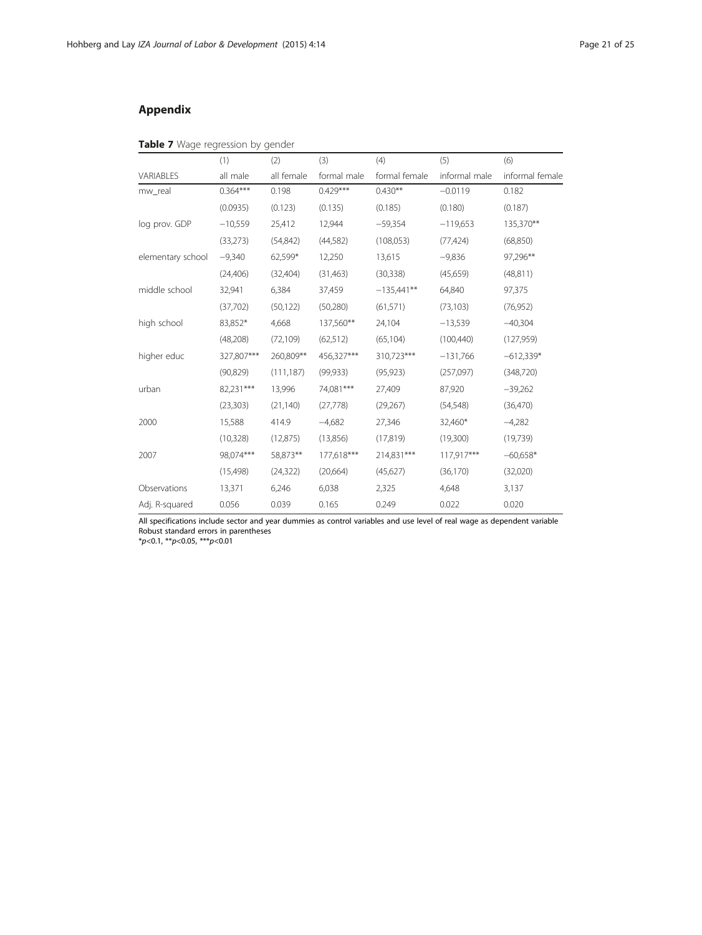# <span id="page-20-0"></span>Appendix

|                   | (1)        | (2)        | (3)         | (4)           | (5)           | (6)             |
|-------------------|------------|------------|-------------|---------------|---------------|-----------------|
| VARIABLES         | all male   | all female | formal male | formal female | informal male | informal female |
| mw_real           | $0.364***$ | 0.198      | $0.429***$  | $0.430**$     | $-0.0119$     | 0.182           |
|                   | (0.0935)   | (0.123)    | (0.135)     | (0.185)       | (0.180)       | (0.187)         |
| log prov. GDP     | $-10,559$  | 25,412     | 12,944      | $-59,354$     | $-119,653$    | 135,370**       |
|                   | (33, 273)  | (54, 842)  | (44,582)    | (108,053)     | (77, 424)     | (68, 850)       |
| elementary school | $-9,340$   | 62,599*    | 12,250      | 13,615        | $-9,836$      | 97,296**        |
|                   | (24, 406)  | (32, 404)  | (31, 463)   | (30, 338)     | (45,659)      | (48, 811)       |
| middle school     | 32,941     | 6,384      | 37,459      | $-135,441**$  | 64,840        | 97,375          |
|                   | (37,702)   | (50, 122)  | (50, 280)   | (61, 571)     | (73, 103)     | (76,952)        |
| high school       | 83,852*    | 4,668      | 137,560**   | 24,104        | $-13,539$     | $-40,304$       |
|                   | (48,208)   | (72, 109)  | (62, 512)   | (65, 104)     | (100, 440)    | (127, 959)      |
| higher educ       | 327,807*** | 260,809**  | 456,327***  | 310,723***    | $-131,766$    | $-612,339*$     |
|                   | (90, 829)  | (111, 187) | (99, 933)   | (95, 923)     | (257,097)     | (348, 720)      |
| urban             | 82,231***  | 13,996     | 74,081***   | 27,409        | 87,920        | $-39,262$       |
|                   | (23,303)   | (21, 140)  | (27,778)    | (29,267)      | (54, 548)     | (36,470)        |
| 2000              | 15,588     | 414.9      | $-4,682$    | 27,346        | 32,460*       | $-4,282$        |
|                   | (10,328)   | (12, 875)  | (13,856)    | (17, 819)     | (19,300)      | (19,739)        |
| 2007              | 98,074***  | 58,873**   | 177,618***  | 214,831***    | 117,917***    | $-60,658*$      |
|                   | (15,498)   | (24, 322)  | (20, 664)   | (45,627)      | (36, 170)     | (32,020)        |
| Observations      | 13,371     | 6,246      | 6,038       | 2,325         | 4,648         | 3,137           |
| Adj. R-squared    | 0.056      | 0.039      | 0.165       | 0.249         | 0.022         | 0.020           |

## Table 7 Wage regression by gender

All specifications include sector and year dummies as control variables and use level of real wage as dependent variable Robust standard errors in parentheses

\*p<0.1, \*\*p<0.05, \*\*\*p<0.01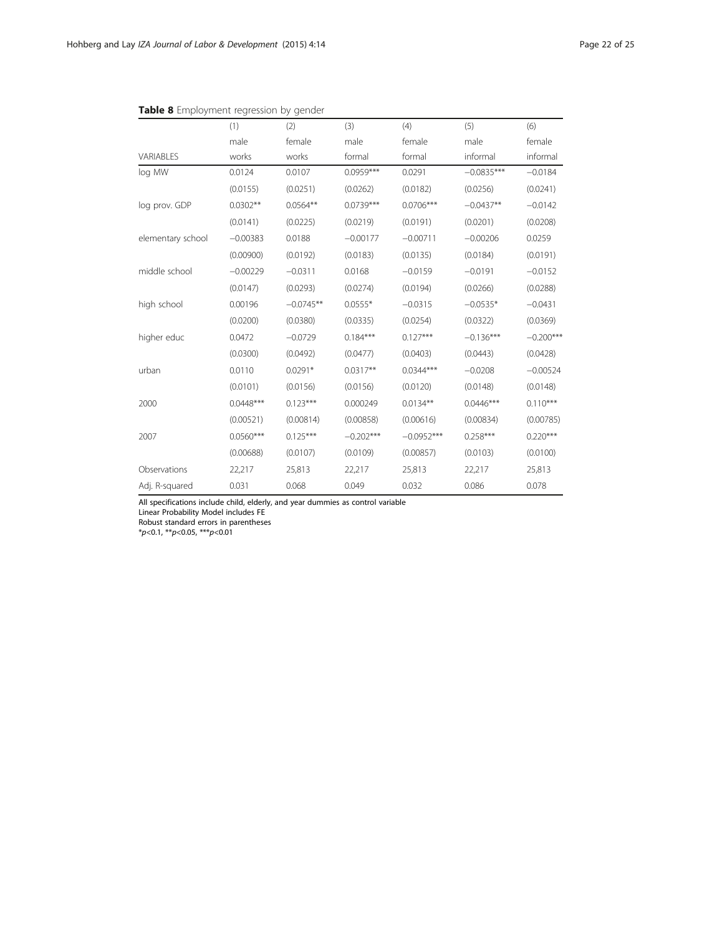|                   | (1)         | (2)         | (3)         | (4)          | (5)          | (6)         |
|-------------------|-------------|-------------|-------------|--------------|--------------|-------------|
|                   | male        | female      | male        | female       | male         | female      |
| VARIABLES         | works       | works       | formal      | formal       | informal     | informal    |
| log MW            | 0.0124      | 0.0107      | 0.0959***   | 0.0291       | $-0.0835***$ | $-0.0184$   |
|                   | (0.0155)    | (0.0251)    | (0.0262)    | (0.0182)     | (0.0256)     | (0.0241)    |
| log prov. GDP     | $0.0302**$  | $0.0564**$  | 0.0739***   | 0.0706***    | $-0.0437**$  | $-0.0142$   |
|                   | (0.0141)    | (0.0225)    | (0.0219)    | (0.0191)     | (0.0201)     | (0.0208)    |
| elementary school | $-0.00383$  | 0.0188      | $-0.00177$  | $-0.00711$   | $-0.00206$   | 0.0259      |
|                   | (0.00900)   | (0.0192)    | (0.0183)    | (0.0135)     | (0.0184)     | (0.0191)    |
| middle school     | $-0.00229$  | $-0.0311$   | 0.0168      | $-0.0159$    | $-0.0191$    | $-0.0152$   |
|                   | (0.0147)    | (0.0293)    | (0.0274)    | (0.0194)     | (0.0266)     | (0.0288)    |
| high school       | 0.00196     | $-0.0745**$ | $0.0555*$   | $-0.0315$    | $-0.0535*$   | $-0.0431$   |
|                   | (0.0200)    | (0.0380)    | (0.0335)    | (0.0254)     | (0.0322)     | (0.0369)    |
| higher educ       | 0.0472      | $-0.0729$   | $0.184***$  | $0.127***$   | $-0.136***$  | $-0.200***$ |
|                   | (0.0300)    | (0.0492)    | (0.0477)    | (0.0403)     | (0.0443)     | (0.0428)    |
| urban             | 0.0110      | $0.0291*$   | $0.0317**$  | $0.0344***$  | $-0.0208$    | $-0.00524$  |
|                   | (0.0101)    | (0.0156)    | (0.0156)    | (0.0120)     | (0.0148)     | (0.0148)    |
| 2000              | $0.0448***$ | $0.123***$  | 0.000249    | $0.0134**$   | $0.0446***$  | $0.110***$  |
|                   | (0.00521)   | (0.00814)   | (0.00858)   | (0.00616)    | (0.00834)    | (0.00785)   |
| 2007              | $0.0560***$ | $0.125***$  | $-0.202***$ | $-0.0952***$ | $0.258***$   | $0.220***$  |
|                   | (0.00688)   | (0.0107)    | (0.0109)    | (0.00857)    | (0.0103)     | (0.0100)    |
| Observations      | 22,217      | 25,813      | 22,217      | 25,813       | 22,217       | 25,813      |
| Adj. R-squared    | 0.031       | 0.068       | 0.049       | 0.032        | 0.086        | 0.078       |
|                   |             |             |             |              |              |             |

<span id="page-21-0"></span>

| Table 8 Employment regression by gender |  |
|-----------------------------------------|--|
|-----------------------------------------|--|

All specifications include child, elderly, and year dummies as control variable

Linear Probability Model includes FE

Robust standard errors in parentheses

\*p<0.1, \*\*p<0.05, \*\*\*p<0.01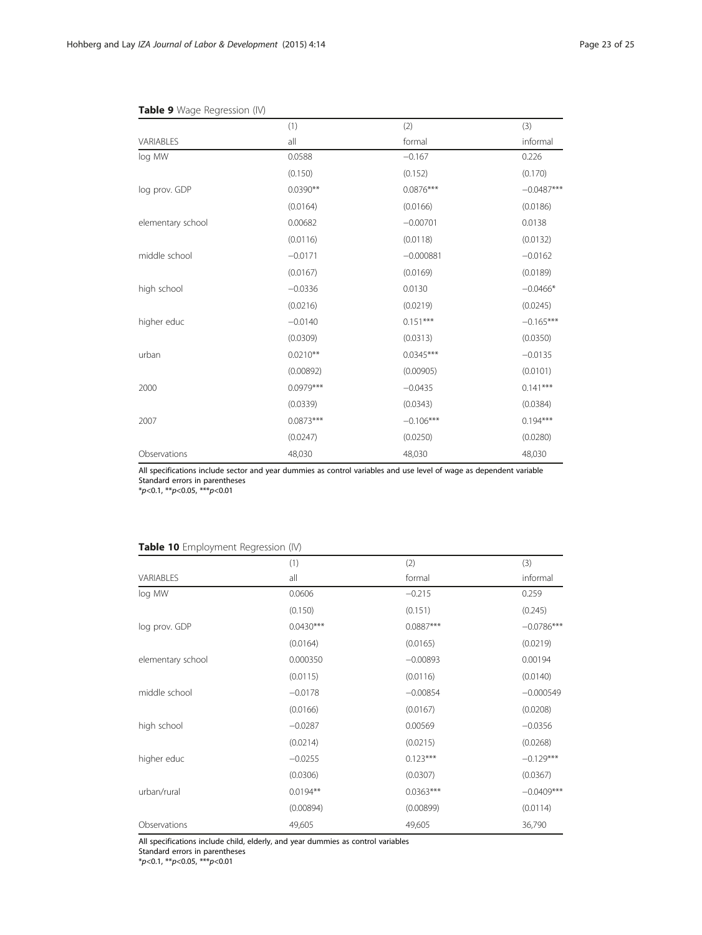|                   | (1)         | (2)         | (3)          |
|-------------------|-------------|-------------|--------------|
| VARIABLES         | all         | formal      | informal     |
| log MW            | 0.0588      | $-0.167$    | 0.226        |
|                   | (0.150)     | (0.152)     | (0.170)      |
| log prov. GDP     | $0.0390**$  | $0.0876***$ | $-0.0487***$ |
|                   | (0.0164)    | (0.0166)    | (0.0186)     |
| elementary school | 0.00682     | $-0.00701$  | 0.0138       |
|                   | (0.0116)    | (0.0118)    | (0.0132)     |
| middle school     | $-0.0171$   | $-0.000881$ | $-0.0162$    |
|                   | (0.0167)    | (0.0169)    | (0.0189)     |
| high school       | $-0.0336$   | 0.0130      | $-0.0466*$   |
|                   | (0.0216)    | (0.0219)    | (0.0245)     |
| higher educ       | $-0.0140$   | $0.151***$  | $-0.165***$  |
|                   | (0.0309)    | (0.0313)    | (0.0350)     |
| urban             | $0.0210**$  | $0.0345***$ | $-0.0135$    |
|                   | (0.00892)   | (0.00905)   | (0.0101)     |
| 2000              | $0.0979***$ | $-0.0435$   | $0.141***$   |
|                   | (0.0339)    | (0.0343)    | (0.0384)     |
| 2007              | $0.0873***$ | $-0.106***$ | $0.194***$   |
|                   | (0.0247)    | (0.0250)    | (0.0280)     |
| Observations      | 48,030      | 48,030      | 48,030       |

# <span id="page-22-0"></span>Table 9 Wage Regression (IV)

All specifications include sector and year dummies as control variables and use level of wage as dependent variable Standard errors in parentheses

 $*p<0.1$ ,  $**p<0.05$ ,  $***p<0.01$ 

# Table 10 Employment Regression (IV)

| VARIABLES         | (1)<br>all  | (2)<br>formal | (3)<br>informal |
|-------------------|-------------|---------------|-----------------|
|                   |             |               |                 |
| (0.150)           | (0.151)     | (0.245)       |                 |
| log prov. GDP     | $0.0430***$ | $0.0887***$   | $-0.0786***$    |
|                   | (0.0164)    | (0.0165)      | (0.0219)        |
| elementary school | 0.000350    | $-0.00893$    | 0.00194         |
|                   | (0.0115)    | (0.0116)      | (0.0140)        |
| middle school     | $-0.0178$   | $-0.00854$    | $-0.000549$     |
|                   | (0.0166)    | (0.0167)      | (0.0208)        |
| high school       | $-0.0287$   | 0.00569       | $-0.0356$       |
|                   | (0.0214)    | (0.0215)      | (0.0268)        |
| higher educ       | $-0.0255$   | $0.123***$    | $-0.129***$     |
|                   | (0.0306)    | (0.0307)      | (0.0367)        |
| urban/rural       | $0.0194**$  | $0.0363***$   | $-0.0409***$    |
|                   | (0.00894)   | (0.00899)     | (0.0114)        |
| Observations      | 49,605      | 49,605        | 36,790          |

All specifications include child, elderly, and year dummies as control variables Standard errors in parentheses

\*p<0.1, \*\*p<0.05, \*\*\*p<0.01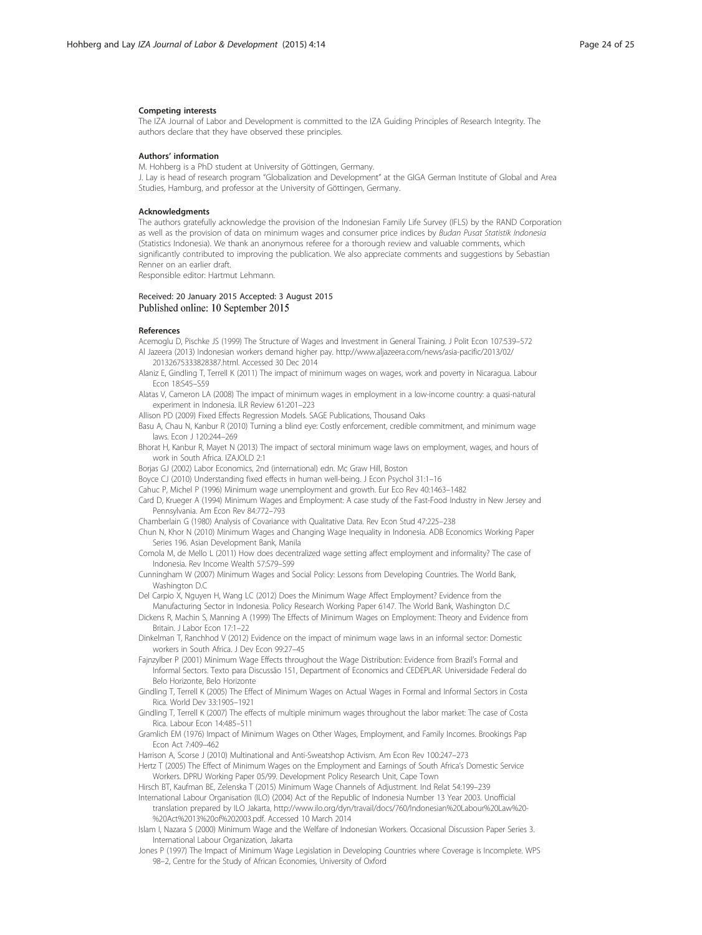#### <span id="page-23-0"></span>Competing interests

The IZA Journal of Labor and Development is committed to the IZA Guiding Principles of Research Integrity. The authors declare that they have observed these principles.

#### Authors' information

M. Hohberg is a PhD student at University of Göttingen, Germany.

J. Lay is head of research program "Globalization and Development" at the GIGA German Institute of Global and Area Studies, Hamburg, and professor at the University of Göttingen, Germany.

#### Acknowledgments

The authors gratefully acknowledge the provision of the Indonesian Family Life Survey (IFLS) by the RAND Corporation as well as the provision of data on minimum wages and consumer price indices by Budan Pusat Statistik Indonesia (Statistics Indonesia). We thank an anonymous referee for a thorough review and valuable comments, which significantly contributed to improving the publication. We also appreciate comments and suggestions by Sebastian Renner on an earlier draft.

Responsible editor: Hartmut Lehmann.

## Received: 20 January 2015 Accepted: 3 August 2015 Published online: 10 September 2015

#### References

Acemoglu D, Pischke JS (1999) The Structure of Wages and Investment in General Training. J Polit Econ 107:539–572 Al Jazeera (2013) Indonesian workers demand higher pay. [http://www.aljazeera.com/news/asia-pacific/2013/02/](http://www.aljazeera.com/news/asia-pacific/2013/02/20132675333828387.html)

[20132675333828387.html](http://www.aljazeera.com/news/asia-pacific/2013/02/20132675333828387.html). Accessed 30 Dec 2014

Alaniz E, Gindling T, Terrell K (2011) The impact of minimum wages on wages, work and poverty in Nicaragua. Labour Econ 18:S45–S59

Alatas V, Cameron LA (2008) The impact of minimum wages in employment in a low-income country: a quasi-natural experiment in Indonesia. ILR Review 61:201–223

Allison PD (2009) Fixed Effects Regression Models. SAGE Publications, Thousand Oaks

- Basu A, Chau N, Kanbur R (2010) Turning a blind eye: Costly enforcement, credible commitment, and minimum wage laws. Econ J 120:244–269
- Bhorat H, Kanbur R, Mayet N (2013) The impact of sectoral minimum wage laws on employment, wages, and hours of work in South Africa. IZAJOLD 2:1

Borjas GJ (2002) Labor Economics, 2nd (international) edn. Mc Graw Hill, Boston

Boyce CJ (2010) Understanding fixed effects in human well-being. J Econ Psychol 31:1–16

- Cahuc P, Michel P (1996) Minimum wage unemployment and growth. Eur Eco Rev 40:1463–1482
- Card D, Krueger A (1994) Minimum Wages and Employment: A case study of the Fast-Food Industry in New Jersey and Pennsylvania. Am Econ Rev 84:772–793
- Chamberlain G (1980) Analysis of Covariance with Qualitative Data. Rev Econ Stud 47:225–238

Chun N, Khor N (2010) Minimum Wages and Changing Wage Inequality in Indonesia. ADB Economics Working Paper Series 196. Asian Development Bank, Manila

- Comola M, de Mello L (2011) How does decentralized wage setting affect employment and informality? The case of Indonesia. Rev Income Wealth 57:S79–S99
- Cunningham W (2007) Minimum Wages and Social Policy: Lessons from Developing Countries. The World Bank, Washington D.C

Del Carpio X, Nguyen H, Wang LC (2012) Does the Minimum Wage Affect Employment? Evidence from the

Manufacturing Sector in Indonesia. Policy Research Working Paper 6147. The World Bank, Washington D.C Dickens R, Machin S, Manning A (1999) The Effects of Minimum Wages on Employment: Theory and Evidence from

Britain. J Labor Econ 17:1–22 Dinkelman T, Ranchhod V (2012) Evidence on the impact of minimum wage laws in an informal sector: Domestic

workers in South Africa. J Dev Econ 99:27–45

- Fajnzylber P (2001) Minimum Wage Effects throughout the Wage Distribution: Evidence from Brazil's Formal and Informal Sectors. Texto para Discussão 151, Department of Economics and CEDEPLAR. Universidade Federal do Belo Horizonte, Belo Horizonte
- Gindling T, Terrell K (2005) The Effect of Minimum Wages on Actual Wages in Formal and Informal Sectors in Costa Rica. World Dev 33:1905–1921
- Gindling T, Terrell K (2007) The effects of multiple minimum wages throughout the labor market: The case of Costa Rica. Labour Econ 14:485–511
- Gramlich EM (1976) Impact of Minimum Wages on Other Wages, Employment, and Family Incomes. Brookings Pap Econ Act 7:409–462

Harrison A, Scorse J (2010) Multinational and Anti-Sweatshop Activism. Am Econ Rev 100:247–273

Hertz T (2005) The Effect of Minimum Wages on the Employment and Earnings of South Africa's Domestic Service Workers. DPRU Working Paper 05/99. Development Policy Research Unit, Cape Town

Hirsch BT, Kaufman BE, Zelenska T (2015) Minimum Wage Channels of Adjustment. Ind Relat 54:199–239 International Labour Organisation (ILO) (2004) Act of the Republic of Indonesia Number 13 Year 2003. Unofficial

translation prepared by ILO Jakarta, [http://www.ilo.org/dyn/travail/docs/760/Indonesian%20Labour%20Law%20-](http://www.ilo.org/dyn/travail/docs/760/Indonesian%20Labour%20Law%20-%20Act%2013%20of%202003.pdf) [%20Act%2013%20of%202003.pdf](http://www.ilo.org/dyn/travail/docs/760/Indonesian%20Labour%20Law%20-%20Act%2013%20of%202003.pdf). Accessed 10 March 2014

Islam I, Nazara S (2000) Minimum Wage and the Welfare of Indonesian Workers. Occasional Discussion Paper Series 3. International Labour Organization, Jakarta

Jones P (1997) The Impact of Minimum Wage Legislation in Developing Countries where Coverage is Incomplete. WPS 98–2, Centre for the Study of African Economies, University of Oxford